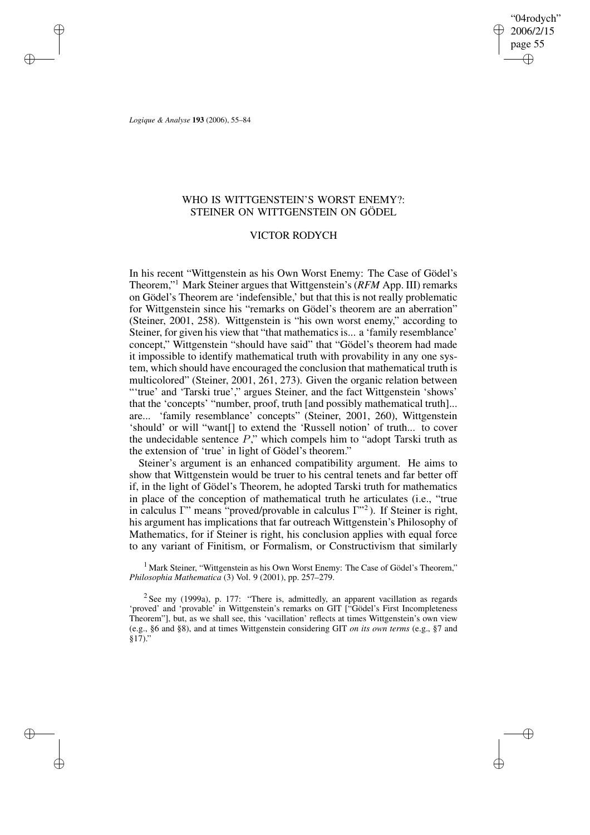"04rodych" 2006/2/15 page 55 ✐ ✐

✐

✐

*Logique & Analyse* **193** (2006), 55–84

✐

✐

✐

✐

# WHO IS WITTGENSTEIN'S WORST ENEMY?: STEINER ON WITTGENSTEIN ON GÖDEL

## VICTOR RODYCH

In his recent "Wittgenstein as his Own Worst Enemy: The Case of Gödel's Theorem," <sup>1</sup> Mark Steiner argues that Wittgenstein's (*RFM* App. III) remarks on Gödel's Theorem are 'indefensible,' but that this is not really problematic for Wittgenstein since his "remarks on Gödel's theorem are an aberration" (Steiner, 2001, 258). Wittgenstein is "his own worst enemy," according to Steiner, for given his view that "that mathematics is... a 'family resemblance' concept," Wittgenstein "should have said" that "Gödel's theorem had made it impossible to identify mathematical truth with provability in any one system, which should have encouraged the conclusion that mathematical truth is multicolored" (Steiner, 2001, 261, 273). Given the organic relation between "'true' and 'Tarski true'," argues Steiner, and the fact Wittgenstein 'shows' that the 'concepts' "number, proof, truth [and possibly mathematical truth]... are... 'family resemblance' concepts" (Steiner, 2001, 260), Wittgenstein 'should' or will "want[] to extend the 'Russell notion' of truth... to cover the undecidable sentence  $P$ ," which compels him to "adopt Tarski truth as the extension of 'true' in light of Gödel's theorem."

Steiner's argument is an enhanced compatibility argument. He aims to show that Wittgenstein would be truer to his central tenets and far better off if, in the light of Gödel's Theorem, he adopted Tarski truth for mathematics in place of the conception of mathematical truth he articulates (i.e., "true in calculus Γ" means "proved/provable in calculus Γ" 2 ). If Steiner is right, his argument has implications that far outreach Wittgenstein's Philosophy of Mathematics, for if Steiner is right, his conclusion applies with equal force to any variant of Finitism, or Formalism, or Constructivism that similarly

<sup>1</sup> Mark Steiner, "Wittgenstein as his Own Worst Enemy: The Case of Gödel's Theorem," *Philosophia Mathematica* (3) Vol. 9 (2001), pp. 257–279.

 $2$  See my (1999a), p. 177: "There is, admittedly, an apparent vacillation as regards 'proved' and 'provable' in Wittgenstein's remarks on GIT ["Gödel's First Incompleteness Theorem"], but, as we shall see, this 'vacillation' reflects at times Wittgenstein's own view (e.g., §6 and §8), and at times Wittgenstein considering GIT *on its own terms* (e.g., §7 and §17)."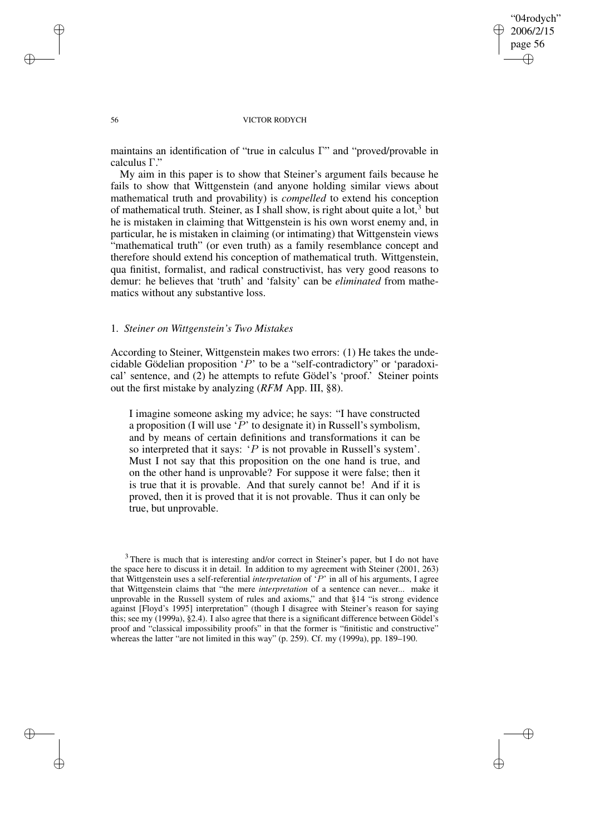✐

✐

### 56 VICTOR RODYCH

maintains an identification of "true in calculus Γ" and "proved/provable in calculus Γ."

My aim in this paper is to show that Steiner's argument fails because he fails to show that Wittgenstein (and anyone holding similar views about mathematical truth and provability) is *compelled* to extend his conception of mathematical truth. Steiner, as I shall show, is right about quite a  $\text{lot}^3$  but he is mistaken in claiming that Wittgenstein is his own worst enemy and, in particular, he is mistaken in claiming (or intimating) that Wittgenstein views "mathematical truth" (or even truth) as a family resemblance concept and therefore should extend his conception of mathematical truth. Wittgenstein, qua finitist, formalist, and radical constructivist, has very good reasons to demur: he believes that 'truth' and 'falsity' can be *eliminated* from mathematics without any substantive loss.

# 1. *Steiner on Wittgenstein's Two Mistakes*

According to Steiner, Wittgenstein makes two errors: (1) He takes the undecidable Gödelian proposition 'P' to be a "self-contradictory" or 'paradoxical' sentence, and (2) he attempts to refute Gödel's 'proof.' Steiner points out the first mistake by analyzing (*RFM* App. III, §8).

I imagine someone asking my advice; he says: "I have constructed a proposition (I will use  $\mathcal{P}'$  to designate it) in Russell's symbolism, and by means of certain definitions and transformations it can be so interpreted that it says: 'P is not provable in Russell's system'. Must I not say that this proposition on the one hand is true, and on the other hand is unprovable? For suppose it were false; then it is true that it is provable. And that surely cannot be! And if it is proved, then it is proved that it is not provable. Thus it can only be true, but unprovable.

✐

✐

✐

 $3$  There is much that is interesting and/or correct in Steiner's paper, but I do not have the space here to discuss it in detail. In addition to my agreement with Steiner (2001, 263) that Wittgenstein uses a self-referential *interpretation* of 'P' in all of his arguments, I agree that Wittgenstein claims that "the mere *interpretation* of a sentence can never... make it unprovable in the Russell system of rules and axioms," and that §14 "is strong evidence against [Floyd's 1995] interpretation" (though I disagree with Steiner's reason for saying this; see my (1999a), §2.4). I also agree that there is a significant difference between Gödel's proof and "classical impossibility proofs" in that the former is "finitistic and constructive" whereas the latter "are not limited in this way" (p. 259). Cf. my (1999a), pp. 189–190.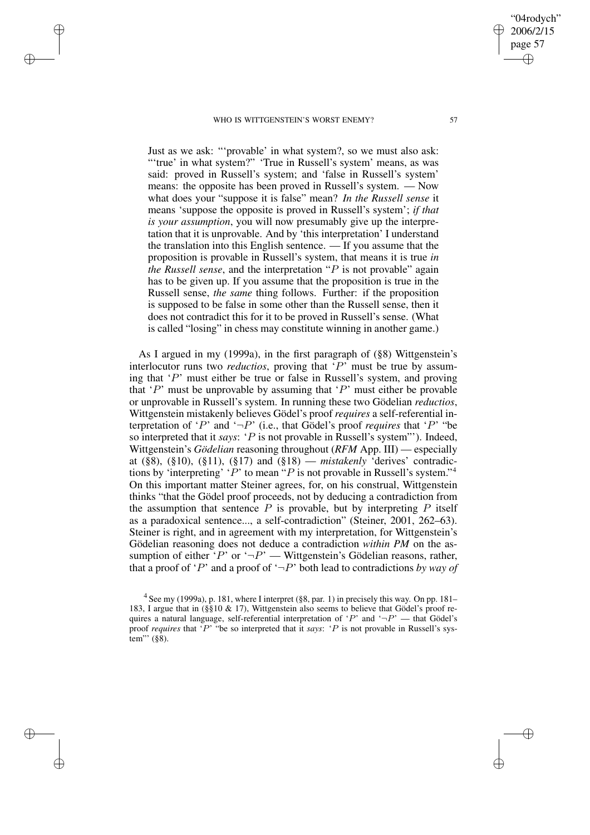✐

✐

✐

✐

Just as we ask: "'provable' in what system?, so we must also ask: ""true' in what system?" 'True in Russell's system' means, as was said: proved in Russell's system; and 'false in Russell's system' means: the opposite has been proved in Russell's system. — Now what does your "suppose it is false" mean? *In the Russell sense* it means 'suppose the opposite is proved in Russell's system'; *if that is your assumption*, you will now presumably give up the interpretation that it is unprovable. And by 'this interpretation' I understand the translation into this English sentence. — If you assume that the proposition is provable in Russell's system, that means it is true *in the Russell sense*, and the interpretation "P is not provable" again has to be given up. If you assume that the proposition is true in the Russell sense, *the same* thing follows. Further: if the proposition is supposed to be false in some other than the Russell sense, then it does not contradict this for it to be proved in Russell's sense. (What is called "losing" in chess may constitute winning in another game.)

As I argued in my (1999a), in the first paragraph of (§8) Wittgenstein's interlocutor runs two *reductios*, proving that  $\overline{P}$  must be true by assuming that  $'P'$  must either be true or false in Russell's system, and proving that ' $P$ ' must be unprovable by assuming that ' $P$ ' must either be provable or unprovable in Russell's system. In running these two Gödelian *reductios*, Wittgenstein mistakenly believes Gödel's proof *requires* a self-referential interpretation of 'P' and ' $\neg P$ ' (i.e., that Gödel's proof *requires* that 'P' "be so interpreted that it *says*: 'P is not provable in Russell's system"'). Indeed, Wittgenstein's *Gödelian* reasoning throughout (*RFM* App. III) — especially at (§8), (§10), (§11), (§17) and (§18) — *mistakenly* 'derives' contradictions by 'interpreting' ' $P$ ' to mean " $P$  is not provable in Russell's system."<sup>4</sup> On this important matter Steiner agrees, for, on his construal, Wittgenstein thinks "that the Gödel proof proceeds, not by deducing a contradiction from the assumption that sentence  $P$  is provable, but by interpreting  $P$  itself as a paradoxical sentence..., a self-contradiction" (Steiner, 2001, 262–63). Steiner is right, and in agreement with my interpretation, for Wittgenstein's Gödelian reasoning does not deduce a contradiction *within PM* on the assumption of either 'P' or ' $\neg P$ ' — Wittgenstein's Gödelian reasons, rather, that a proof of 'P' and a proof of ' $\neg P$ ' both lead to contradictions *by way of* 

"04rodych" 2006/2/15 page 57

✐

✐

✐

<sup>&</sup>lt;sup>4</sup> See my (1999a), p. 181, where I interpret (§8, par. 1) in precisely this way. On pp. 181– 183, I argue that in (§§10 & 17), Wittgenstein also seems to believe that Gödel's proof requires a natural language, self-referential interpretation of 'P' and ' $\neg P$ ' — that Gödel's proof *requires* that 'P' "be so interpreted that it *says*: 'P is not provable in Russell's system"' (§8).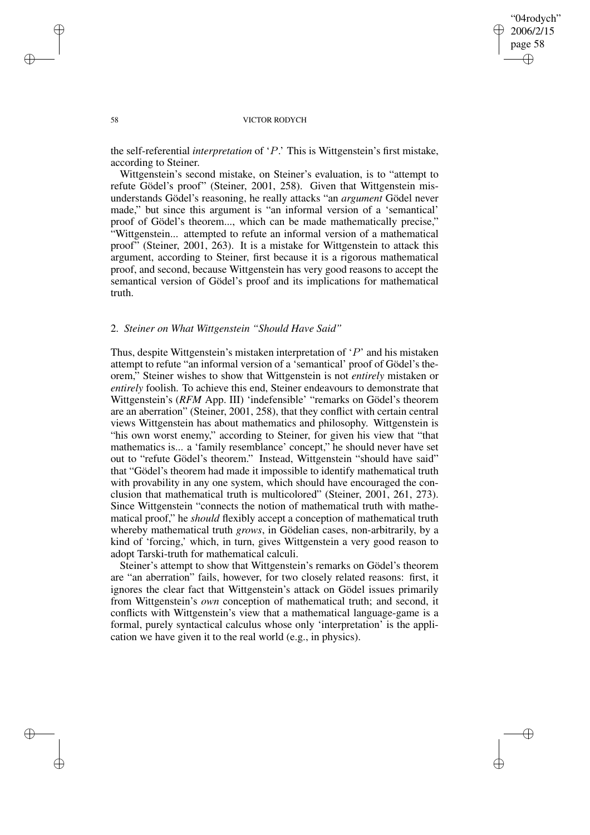✐

✐

## 58 VICTOR RODYCH

the self-referential *interpretation* of 'P.' This is Wittgenstein's first mistake, according to Steiner.

Wittgenstein's second mistake, on Steiner's evaluation, is to "attempt to refute Gödel's proof" (Steiner, 2001, 258). Given that Wittgenstein misunderstands Gödel's reasoning, he really attacks "an *argument* Gödel never made," but since this argument is "an informal version of a 'semantical' proof of Gödel's theorem..., which can be made mathematically precise," "Wittgenstein... attempted to refute an informal version of a mathematical proof" (Steiner, 2001, 263). It is a mistake for Wittgenstein to attack this argument, according to Steiner, first because it is a rigorous mathematical proof, and second, because Wittgenstein has very good reasons to accept the semantical version of Gödel's proof and its implications for mathematical truth.

## 2. *Steiner on What Wittgenstein "Should Have Said"*

Thus, despite Wittgenstein's mistaken interpretation of  $\Delta P'$  and his mistaken attempt to refute "an informal version of a 'semantical' proof of Gödel's theorem," Steiner wishes to show that Wittgenstein is not *entirely* mistaken or *entirely* foolish. To achieve this end, Steiner endeavours to demonstrate that Wittgenstein's (*RFM* App. III) 'indefensible' "remarks on Gödel's theorem are an aberration" (Steiner, 2001, 258), that they conflict with certain central views Wittgenstein has about mathematics and philosophy. Wittgenstein is "his own worst enemy," according to Steiner, for given his view that "that mathematics is... a 'family resemblance' concept," he should never have set out to "refute Gödel's theorem." Instead, Wittgenstein "should have said" that "Gödel's theorem had made it impossible to identify mathematical truth with provability in any one system, which should have encouraged the conclusion that mathematical truth is multicolored" (Steiner, 2001, 261, 273). Since Wittgenstein "connects the notion of mathematical truth with mathematical proof," he *should* flexibly accept a conception of mathematical truth whereby mathematical truth *grows*, in Gödelian cases, non-arbitrarily, by a kind of 'forcing,' which, in turn, gives Wittgenstein a very good reason to adopt Tarski-truth for mathematical calculi.

Steiner's attempt to show that Wittgenstein's remarks on Gödel's theorem are "an aberration" fails, however, for two closely related reasons: first, it ignores the clear fact that Wittgenstein's attack on Gödel issues primarily from Wittgenstein's *own* conception of mathematical truth; and second, it conflicts with Wittgenstein's view that a mathematical language-game is a formal, purely syntactical calculus whose only 'interpretation' is the application we have given it to the real world (e.g., in physics).

✐

✐

✐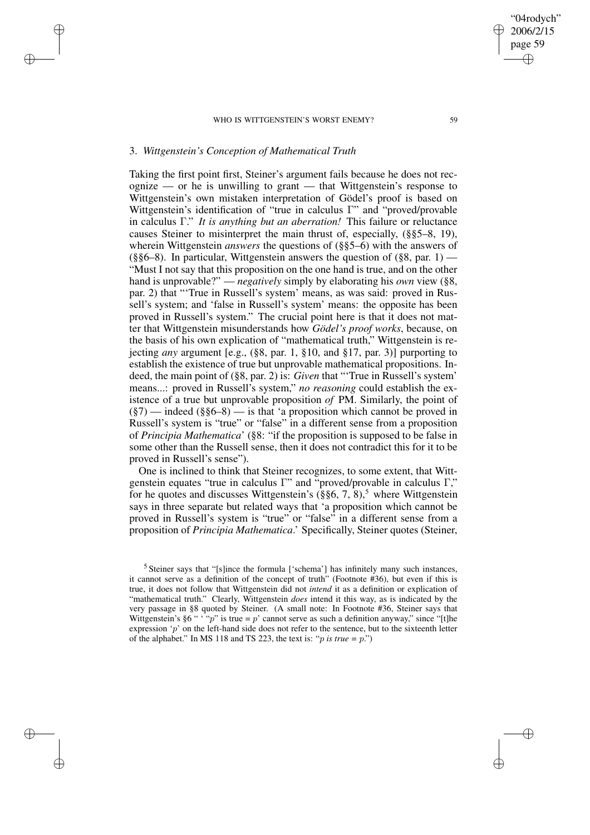# 3. *Wittgenstein's Conception of Mathematical Truth*

✐

✐

✐

✐

Taking the first point first, Steiner's argument fails because he does not rec- $\alpha$  ognize — or he is unwilling to grant — that Wittgenstein's response to Wittgenstein's own mistaken interpretation of Gödel's proof is based on Wittgenstein's identification of "true in calculus Γ" and "proved/provable in calculus Γ." *It is anything but an aberration!* This failure or reluctance causes Steiner to misinterpret the main thrust of, especially, (§§5–8, 19), wherein Wittgenstein *answers* the questions of (§§5–6) with the answers of  $(\S\$ 6-8). In particular, Wittgenstein answers the question of  $(\S\$ 8, \text{par. } 1) — "Must I not say that this proposition on the one hand is true, and on the other hand is unprovable?" — *negatively* simply by elaborating his *own* view (§8, par. 2) that "'True in Russell's system' means, as was said: proved in Russell's system; and 'false in Russell's system' means: the opposite has been proved in Russell's system." The crucial point here is that it does not matter that Wittgenstein misunderstands how *Gödel's proof works*, because, on the basis of his own explication of "mathematical truth," Wittgenstein is rejecting *any* argument [e.g., (§8, par. 1, §10, and §17, par. 3)] purporting to establish the existence of true but unprovable mathematical propositions. Indeed, the main point of (§8, par. 2) is: *Given* that "'True in Russell's system' means...: proved in Russell's system," *no reasoning* could establish the existence of a true but unprovable proposition *of* PM. Similarly, the point of  $(\xi 7)$  — indeed  $(\xi \xi 6-8)$  — is that 'a proposition which cannot be proved in Russell's system is "true" or "false" in a different sense from a proposition of *Principia Mathematica*' (§8: "if the proposition is supposed to be false in some other than the Russell sense, then it does not contradict this for it to be proved in Russell's sense").

One is inclined to think that Steiner recognizes, to some extent, that Wittgenstein equates "true in calculus Γ" and "proved/provable in calculus Γ," for he quotes and discusses Wittgenstein's  $(\S\$ 6, 7, 8),<sup>5</sup> where Wittgenstein says in three separate but related ways that 'a proposition which cannot be proved in Russell's system is "true" or "false" in a different sense from a proposition of *Principia Mathematica*.' Specifically, Steiner quotes (Steiner,

"04rodych" 2006/2/15 page 59

✐

✐

✐

 $<sup>5</sup>$  Steiner says that "[s]ince the formula ['schema'] has infinitely many such instances,</sup> it cannot serve as a definition of the concept of truth" (Footnote #36), but even if this is true, it does not follow that Wittgenstein did not *intend* it as a definition or explication of "mathematical truth." Clearly, Wittgenstein *does* intend it this way, as is indicated by the very passage in §8 quoted by Steiner. (A small note: In Footnote #36, Steiner says that Wittgenstein's §6 " '"p" is true = p' cannot serve as such a definition anyway," since "[t]he expression 'p' on the left-hand side does not refer to the sentence, but to the sixteenth letter of the alphabet." In MS 118 and TS 223, the text is: "*p* is *true* =  $p$ .")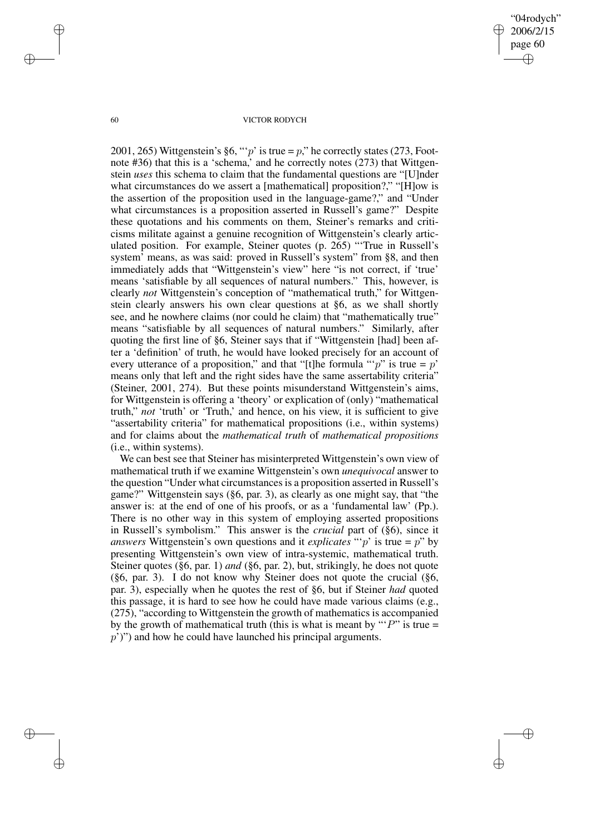"04rodych" 2006/2/15 page 60 ✐ ✐

✐

✐

## 60 VICTOR RODYCH

2001, 265) Wittgenstein's §6, "'p' is true = p," he correctly states (273, Footnote #36) that this is a 'schema,' and he correctly notes (273) that Wittgenstein *uses* this schema to claim that the fundamental questions are "[U]nder what circumstances do we assert a [mathematical] proposition?," "[H]ow is the assertion of the proposition used in the language-game?," and "Under what circumstances is a proposition asserted in Russell's game?" Despite these quotations and his comments on them, Steiner's remarks and criticisms militate against a genuine recognition of Wittgenstein's clearly articulated position. For example, Steiner quotes (p. 265) "'True in Russell's system' means, as was said: proved in Russell's system" from §8, and then immediately adds that "Wittgenstein's view" here "is not correct, if 'true' means 'satisfiable by all sequences of natural numbers." This, however, is clearly *not* Wittgenstein's conception of "mathematical truth," for Wittgenstein clearly answers his own clear questions at §6, as we shall shortly see, and he nowhere claims (nor could he claim) that "mathematically true" means "satisfiable by all sequences of natural numbers." Similarly, after quoting the first line of §6, Steiner says that if "Wittgenstein [had] been after a 'definition' of truth, he would have looked precisely for an account of every utterance of a proposition," and that "[t]he formula " $p$ " is true = p' means only that left and the right sides have the same assertability criteria" (Steiner, 2001, 274). But these points misunderstand Wittgenstein's aims, for Wittgenstein is offering a 'theory' or explication of (only) "mathematical truth," *not* 'truth' or 'Truth,' and hence, on his view, it is sufficient to give "assertability criteria" for mathematical propositions (i.e., within systems) and for claims about the *mathematical truth* of *mathematical propositions* (i.e., within systems).

We can best see that Steiner has misinterpreted Wittgenstein's own view of mathematical truth if we examine Wittgenstein's own *unequivocal* answer to the question "Under what circumstances is a proposition asserted in Russell's game?" Wittgenstein says (§6, par. 3), as clearly as one might say, that "the answer is: at the end of one of his proofs, or as a 'fundamental law' (Pp.). There is no other way in this system of employing asserted propositions in Russell's symbolism." This answer is the *crucial* part of (§6), since it *answers* Wittgenstein's own questions and it *explicates* " $p$ " is true =  $p$ " by presenting Wittgenstein's own view of intra-systemic, mathematical truth. Steiner quotes (§6, par. 1) *and* (§6, par. 2), but, strikingly, he does not quote (§6, par. 3). I do not know why Steiner does not quote the crucial (§6, par. 3), especially when he quotes the rest of §6, but if Steiner *had* quoted this passage, it is hard to see how he could have made various claims (e.g., (275), "according to Wittgenstein the growth of mathematics is accompanied by the growth of mathematical truth (this is what is meant by " $P$ " is true =  $p'$ )") and how he could have launched his principal arguments.

✐

✐

✐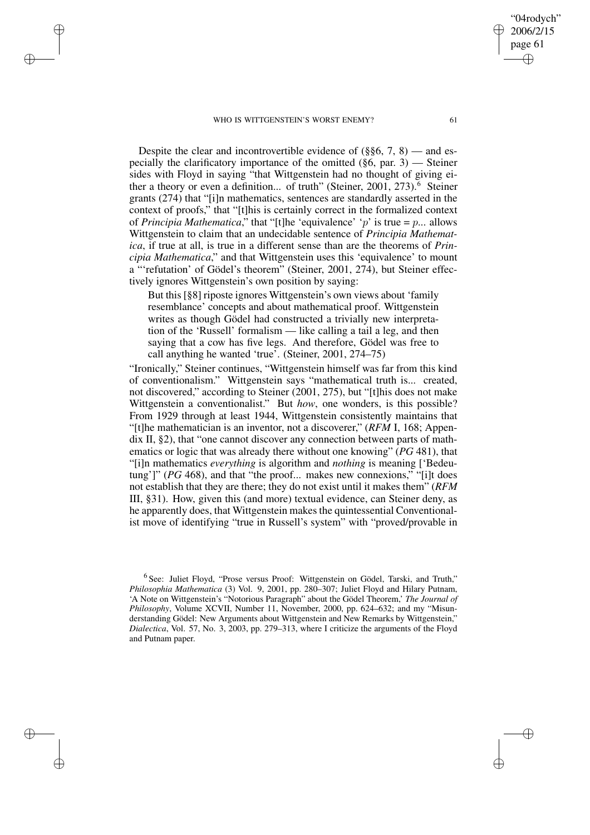✐

✐

✐

✐

Despite the clear and incontrovertible evidence of  $(\S$ §6, 7, 8) — and especially the clarificatory importance of the omitted  $(\S6, \text{par. } 3)$  — Steiner sides with Floyd in saying "that Wittgenstein had no thought of giving either a theory or even a definition... of truth" (Steiner, 2001, 273).<sup>6</sup> Steiner grants (274) that "[i]n mathematics, sentences are standardly asserted in the context of proofs," that "[t]his is certainly correct in the formalized context of *Principia Mathematica*," that "[t]he 'equivalence' 'p' is true =  $p$ ... allows Wittgenstein to claim that an undecidable sentence of *Principia Mathematica*, if true at all, is true in a different sense than are the theorems of *Principia Mathematica*," and that Wittgenstein uses this 'equivalence' to mount a "'refutation' of Gödel's theorem" (Steiner, 2001, 274), but Steiner effectively ignores Wittgenstein's own position by saying:

But this [§8] riposte ignores Wittgenstein's own views about 'family resemblance' concepts and about mathematical proof. Wittgenstein writes as though Gödel had constructed a trivially new interpretation of the 'Russell' formalism — like calling a tail a leg, and then saying that a cow has five legs. And therefore, Gödel was free to call anything he wanted 'true'. (Steiner, 2001, 274–75)

"Ironically," Steiner continues, "Wittgenstein himself was far from this kind of conventionalism." Wittgenstein says "mathematical truth is... created, not discovered," according to Steiner (2001, 275), but "[t]his does not make Wittgenstein a conventionalist." But *how*, one wonders, is this possible? From 1929 through at least 1944, Wittgenstein consistently maintains that "[t]he mathematician is an inventor, not a discoverer," (*RFM* I, 168; Appendix II, §2), that "one cannot discover any connection between parts of mathematics or logic that was already there without one knowing" (*PG* 481), that "[i]n mathematics *everything* is algorithm and *nothing* is meaning ['Bedeutung']" (*PG* 468), and that "the proof... makes new connexions," "[i]t does not establish that they are there; they do not exist until it makes them" (*RFM* III, §31). How, given this (and more) textual evidence, can Steiner deny, as he apparently does, that Wittgenstein makes the quintessential Conventionalist move of identifying "true in Russell's system" with "proved/provable in

"04rodych" 2006/2/15 page 61

✐

✐

✐

<sup>&</sup>lt;sup>6</sup> See: Juliet Floyd, "Prose versus Proof: Wittgenstein on Gödel, Tarski, and Truth," *Philosophia Mathematica* (3) Vol. 9, 2001, pp. 280–307; Juliet Floyd and Hilary Putnam, 'A Note on Wittgenstein's "Notorious Paragraph" about the Gödel Theorem,' *The Journal of Philosophy*, Volume XCVII, Number 11, November, 2000, pp. 624–632; and my "Misunderstanding Gödel: New Arguments about Wittgenstein and New Remarks by Wittgenstein," *Dialectica*, Vol. 57, No. 3, 2003, pp. 279–313, where I criticize the arguments of the Floyd and Putnam paper.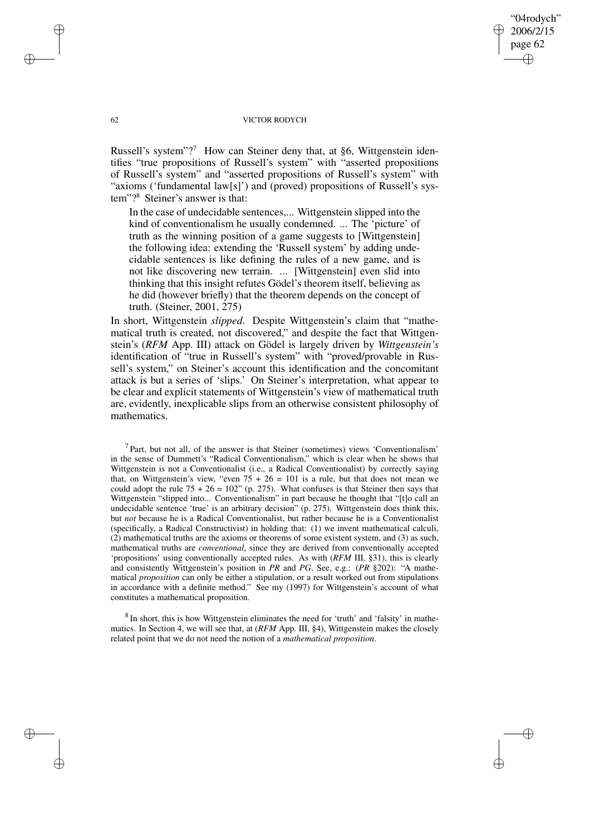"04rodych" 2006/2/15 page 62 ✐ ✐

✐

✐

## 62 VICTOR RODYCH

Russell's system"?<sup>7</sup> How can Steiner deny that, at §6, Wittgenstein identifies "true propositions of Russell's system" with "asserted propositions of Russell's system" and "asserted propositions of Russell's system" with "axioms ('fundamental law[s]') and (proved) propositions of Russell's system"?<sup>8</sup> Steiner's answer is that:

In the case of undecidable sentences,... Wittgenstein slipped into the kind of conventionalism he usually condemned. ... The 'picture' of truth as the winning position of a game suggests to [Wittgenstein] the following idea: extending the 'Russell system' by adding undecidable sentences is like defining the rules of a new game, and is not like discovering new terrain. ... [Wittgenstein] even slid into thinking that this insight refutes Gödel's theorem itself, believing as he did (however briefly) that the theorem depends on the concept of truth. (Steiner, 2001, 275)

In short, Wittgenstein *slipped*. Despite Wittgenstein's claim that "mathematical truth is created, not discovered," and despite the fact that Wittgenstein's (*RFM* App. III) attack on Gödel is largely driven by *Wittgenstein's* identification of "true in Russell's system" with "proved/provable in Russell's system," on Steiner's account this identification and the concomitant attack is but a series of 'slips.' On Steiner's interpretation, what appear to be clear and explicit statements of Wittgenstein's view of mathematical truth are, evidently, inexplicable slips from an otherwise consistent philosophy of mathematics.

<sup>7</sup> Part, but not all, of the answer is that Steiner (sometimes) views 'Conventionalism' in the sense of Dummett's "Radical Conventionalism," which is clear when he shows that Wittgenstein is not a Conventionalist (i.e., a Radical Conventionalist) by correctly saying that, on Wittgenstein's view, "even  $75 + 26 = 101$  is a rule, but that does not mean we could adopt the rule  $75 + 26 = 102$ " (p. 275). What confuses is that Steiner then says that Wittgenstein "slipped into... Conventionalism" in part because he thought that "[t]o call an undecidable sentence 'true' is an arbitrary decision" (p. 275). Wittgenstein does think this, but *not* because he is a Radical Conventionalist, but rather because he is a Conventionalist (specifically, a Radical Constructivist) in holding that: (1) we invent mathematical calculi, (2) mathematical truths are the axioms or theorems of some existent system, and (3) as such, mathematical truths are *conventional*, since they are derived from conventionally accepted 'propositions' using conventionally accepted rules. As with (*RFM* III, §31), this is clearly and consistently Wittgenstein's position in *PR* and *PG*. See, e.g.: (*PR* §202): "A mathematical *proposition* can only be either a stipulation, or a result worked out from stipulations in accordance with a definite method." See my (1997) for Wittgenstein's account of what constitutes a mathematical proposition.

 $8$  In short, this is how Wittgenstein eliminates the need for 'truth' and 'falsity' in mathematics. In Section 4, we will see that, at (*RFM* App. III, §4), Wittgenstein makes the closely related point that we do not need the notion of a *mathematical proposition*.

✐

✐

✐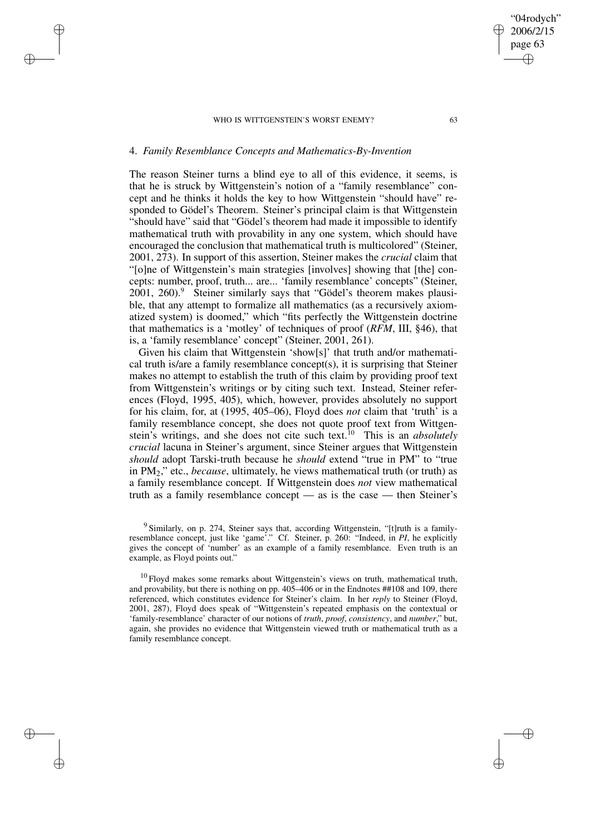# 4. *Family Resemblance Concepts and Mathematics-By-Invention*

✐

✐

✐

✐

The reason Steiner turns a blind eye to all of this evidence, it seems, is that he is struck by Wittgenstein's notion of a "family resemblance" concept and he thinks it holds the key to how Wittgenstein "should have" responded to Gödel's Theorem. Steiner's principal claim is that Wittgenstein "should have" said that "Gödel's theorem had made it impossible to identify mathematical truth with provability in any one system, which should have encouraged the conclusion that mathematical truth is multicolored" (Steiner, 2001, 273). In support of this assertion, Steiner makes the *crucial* claim that "[o]ne of Wittgenstein's main strategies [involves] showing that [the] concepts: number, proof, truth... are... 'family resemblance' concepts" (Steiner,  $2001, 260.9$  Steiner similarly says that "Gödel's theorem makes plausible, that any attempt to formalize all mathematics (as a recursively axiomatized system) is doomed," which "fits perfectly the Wittgenstein doctrine that mathematics is a 'motley' of techniques of proof (*RFM*, III, §46), that is, a 'family resemblance' concept" (Steiner, 2001, 261).

Given his claim that Wittgenstein 'show[s]' that truth and/or mathematical truth is/are a family resemblance concept(s), it is surprising that Steiner makes no attempt to establish the truth of this claim by providing proof text from Wittgenstein's writings or by citing such text. Instead, Steiner references (Floyd, 1995, 405), which, however, provides absolutely no support for his claim, for, at (1995, 405–06), Floyd does *not* claim that 'truth' is a family resemblance concept, she does not quote proof text from Wittgenstein's writings, and she does not cite such text.<sup>10</sup> This is an *absolutely crucial* lacuna in Steiner's argument, since Steiner argues that Wittgenstein *should* adopt Tarski-truth because he *should* extend "true in PM" to "true in PM2," etc., *because*, ultimately, he views mathematical truth (or truth) as a family resemblance concept. If Wittgenstein does *not* view mathematical truth as a family resemblance concept — as is the case — then Steiner's

<sup>9</sup> Similarly, on p. 274, Steiner says that, according Wittgenstein, "[t]ruth is a familyresemblance concept, just like 'game'." Cf. Steiner, p. 260: "Indeed, in *PI*, he explicitly gives the concept of 'number' as an example of a family resemblance. Even truth is an example, as Floyd points out."

 $10$  Floyd makes some remarks about Wittgenstein's views on truth, mathematical truth, and provability, but there is nothing on pp. 405–406 or in the Endnotes ##108 and 109, there referenced, which constitutes evidence for Steiner's claim. In her *reply* to Steiner (Floyd, 2001, 287), Floyd does speak of "Wittgenstein's repeated emphasis on the contextual or 'family-resemblance' character of our notions of *truth*, *proof*, *consistency*, and *number*," but, again, she provides no evidence that Wittgenstein viewed truth or mathematical truth as a family resemblance concept.

"04rodych" 2006/2/15 page 63

✐

✐

✐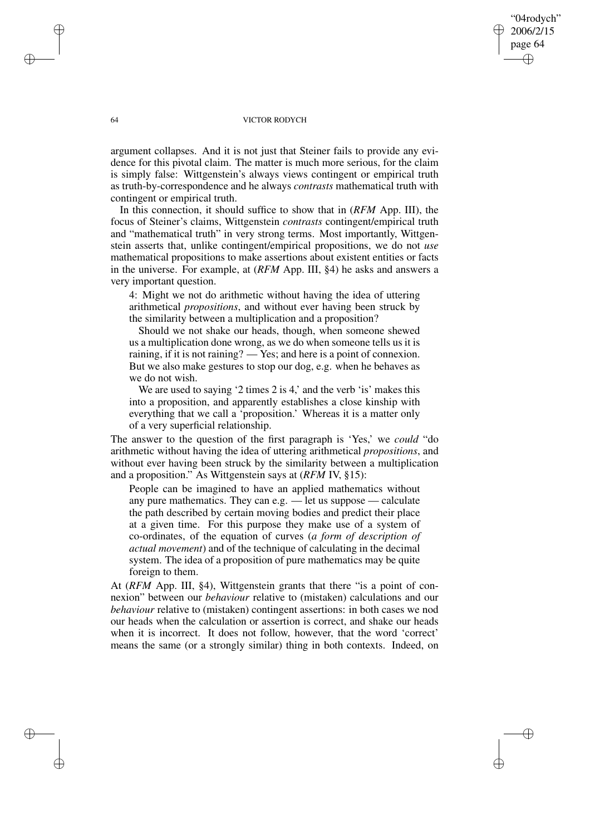64 VICTOR RODYCH

"04rodych" 2006/2/15 page 64

✐

✐

✐

✐

argument collapses. And it is not just that Steiner fails to provide any evidence for this pivotal claim. The matter is much more serious, for the claim is simply false: Wittgenstein's always views contingent or empirical truth as truth-by-correspondence and he always *contrasts* mathematical truth with contingent or empirical truth.

In this connection, it should suffice to show that in (*RFM* App. III), the focus of Steiner's claims, Wittgenstein *contrasts* contingent/empirical truth and "mathematical truth" in very strong terms. Most importantly, Wittgenstein asserts that, unlike contingent/empirical propositions, we do not *use* mathematical propositions to make assertions about existent entities or facts in the universe. For example, at (*RFM* App. III, §4) he asks and answers a very important question.

4: Might we not do arithmetic without having the idea of uttering arithmetical *propositions*, and without ever having been struck by the similarity between a multiplication and a proposition?

Should we not shake our heads, though, when someone shewed us a multiplication done wrong, as we do when someone tells us it is raining, if it is not raining? — Yes; and here is a point of connexion. But we also make gestures to stop our dog, e.g. when he behaves as we do not wish.

We are used to saying '2 times 2 is 4,' and the verb 'is' makes this into a proposition, and apparently establishes a close kinship with everything that we call a 'proposition.' Whereas it is a matter only of a very superficial relationship.

The answer to the question of the first paragraph is 'Yes,' we *could* "do arithmetic without having the idea of uttering arithmetical *propositions*, and without ever having been struck by the similarity between a multiplication and a proposition." As Wittgenstein says at (*RFM* IV, §15):

People can be imagined to have an applied mathematics without any pure mathematics. They can e.g. — let us suppose — calculate the path described by certain moving bodies and predict their place at a given time. For this purpose they make use of a system of co-ordinates, of the equation of curves (*a form of description of actual movement*) and of the technique of calculating in the decimal system. The idea of a proposition of pure mathematics may be quite foreign to them.

At (*RFM* App. III, §4), Wittgenstein grants that there "is a point of connexion" between our *behaviour* relative to (mistaken) calculations and our *behaviour* relative to (mistaken) contingent assertions: in both cases we nod our heads when the calculation or assertion is correct, and shake our heads when it is incorrect. It does not follow, however, that the word 'correct' means the same (or a strongly similar) thing in both contexts. Indeed, on

✐

✐

✐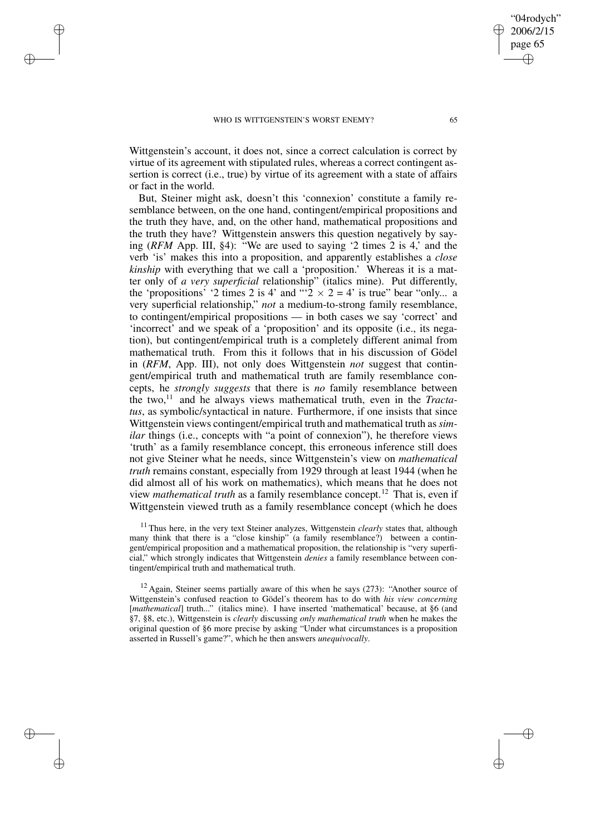✐

✐

✐

✐

Wittgenstein's account, it does not, since a correct calculation is correct by virtue of its agreement with stipulated rules, whereas a correct contingent assertion is correct (i.e., true) by virtue of its agreement with a state of affairs or fact in the world.

But, Steiner might ask, doesn't this 'connexion' constitute a family resemblance between, on the one hand, contingent/empirical propositions and the truth they have, and, on the other hand, mathematical propositions and the truth they have? Wittgenstein answers this question negatively by saying (*RFM* App. III, §4): "We are used to saying '2 times 2 is 4,' and the verb 'is' makes this into a proposition, and apparently establishes a *close kinship* with everything that we call a 'proposition.' Whereas it is a matter only of *a very superficial* relationship" (italics mine). Put differently, the 'propositions' '2 times 2 is 4' and "' $2 \times 2 = 4$ ' is true" bear "only... a very superficial relationship," *not* a medium-to-strong family resemblance, to contingent/empirical propositions — in both cases we say 'correct' and 'incorrect' and we speak of a 'proposition' and its opposite (i.e., its negation), but contingent/empirical truth is a completely different animal from mathematical truth. From this it follows that in his discussion of Gödel in (*RFM*, App. III), not only does Wittgenstein *not* suggest that contingent/empirical truth and mathematical truth are family resemblance concepts, he *strongly suggests* that there is *no* family resemblance between the two,<sup>11</sup> and he always views mathematical truth, even in the *Tractatus*, as symbolic/syntactical in nature. Furthermore, if one insists that since Wittgenstein views contingent/empirical truth and mathematical truth as*similar* things (i.e., concepts with "a point of connexion"), he therefore views 'truth' as a family resemblance concept, this erroneous inference still does not give Steiner what he needs, since Wittgenstein's view on *mathematical truth* remains constant, especially from 1929 through at least 1944 (when he did almost all of his work on mathematics), which means that he does not view *mathematical truth* as a family resemblance concept.<sup>12</sup> That is, even if Wittgenstein viewed truth as a family resemblance concept (which he does

<sup>11</sup> Thus here, in the very text Steiner analyzes, Wittgenstein *clearly* states that, although many think that there is a "close kinship" (a family resemblance?) between a contingent/empirical proposition and a mathematical proposition, the relationship is "very superficial," which strongly indicates that Wittgenstein *denies* a family resemblance between contingent/empirical truth and mathematical truth.

 $12$  Again, Steiner seems partially aware of this when he says (273): "Another source of Wittgenstein's confused reaction to Gödel's theorem has to do with *his view concerning* [*mathematical*] truth..." (italics mine). I have inserted 'mathematical' because, at §6 (and §7, §8, etc.), Wittgenstein is *clearly* discussing *only mathematical truth* when he makes the original question of §6 more precise by asking "Under what circumstances is a proposition asserted in Russell's game?", which he then answers *unequivocally*.

"04rodych" 2006/2/15 page 65

✐

✐

✐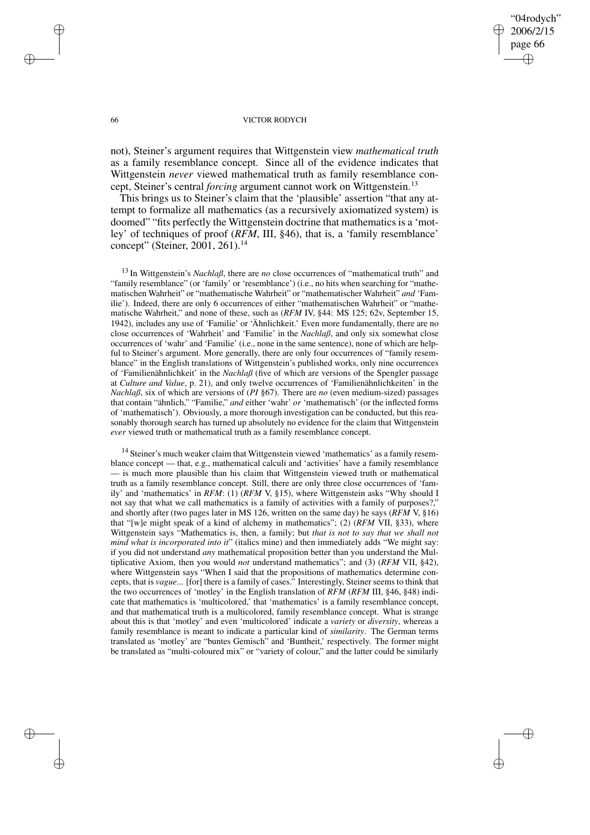✐

✐

## 66 VICTOR RODYCH

not), Steiner's argument requires that Wittgenstein view *mathematical truth* as a family resemblance concept. Since all of the evidence indicates that Wittgenstein *never* viewed mathematical truth as family resemblance concept, Steiner's central *forcing* argument cannot work on Wittgenstein.<sup>13</sup>

This brings us to Steiner's claim that the 'plausible' assertion "that any attempt to formalize all mathematics (as a recursively axiomatized system) is doomed" "fits perfectly the Wittgenstein doctrine that mathematics is a 'motley' of techniques of proof (*RFM*, III, §46), that is, a 'family resemblance' concept" (Steiner, 2001, 261).<sup>14</sup>

<sup>13</sup> In Wittgenstein's *Nachlaß*, there are *no* close occurrences of "mathematical truth" and "family resemblance" (or 'family' or 'resemblance') (i.e., no hits when searching for "mathematischen Wahrheit" or "mathematische Wahrheit" or "mathematischer Wahrheit" *and* 'Familie'). Indeed, there are only 6 occurrences of either "mathematischen Wahrheit" or "mathematische Wahrheit," and none of these, such as (*RFM* IV, §44: MS 125; 62v, September 15, 1942), includes any use of 'Familie' or 'Ähnlichkeit.' Even more fundamentally, there are no close occurrences of 'Wahrheit' and 'Familie' in the *Nachlaß*, and only six somewhat close occurrences of 'wahr' and 'Familie' (i.e., none in the same sentence), none of which are helpful to Steiner's argument. More generally, there are only four occurrences of "family resemblance" in the English translations of Wittgenstein's published works, only nine occurrences of 'Familienähnlichkeit' in the *Nachlaß* (five of which are versions of the Spengler passage at *Culture and Value*, p. 21), and only twelve occurrences of 'Familienähnlichkeiten' in the *Nachlaß*, six of which are versions of (*PI* §67). There are *no* (even medium-sized) passages that contain "ähnlich," "Familie," *and* either 'wahr' *or* 'mathematisch' (or the inflected forms of 'mathematisch'). Obviously, a more thorough investigation can be conducted, but this reasonably thorough search has turned up absolutely no evidence for the claim that Wittgenstein *ever* viewed truth or mathematical truth as a family resemblance concept.

<sup>14</sup> Steiner's much weaker claim that Wittgenstein viewed 'mathematics' as a family resemblance concept — that, e.g., mathematical calculi and 'activities' have a family resemblance — is much more plausible than his claim that Wittgenstein viewed truth or mathematical truth as a family resemblance concept. Still, there are only three close occurrences of 'family' and 'mathematics' in *RFM*: (1) (*RFM* V, §15), where Wittgenstein asks "Why should I not say that what we call mathematics is a family of activities with a family of purposes?," and shortly after (two pages later in MS 126, written on the same day) he says (*RFM* V, §16) that "[w]e might speak of a kind of alchemy in mathematics"; (2) (*RFM* VII, §33), where Wittgenstein says "Mathematics is, then, a family; but *that is not to say that we shall not mind what is incorporated into it*" (italics mine) and then immediately adds "We might say: if you did not understand *any* mathematical proposition better than you understand the Multiplicative Axiom, then you would *not* understand mathematics"; and (3) (*RFM* VII, §42), where Wittgenstein says "When I said that the propositions of mathematics determine concepts, that is *vague*... [for] there is a family of cases." Interestingly, Steiner seems to think that the two occurrences of 'motley' in the English translation of *RFM* (*RFM* III, §46, §48) indicate that mathematics is 'multicolored,' that 'mathematics' is a family resemblance concept, and that mathematical truth is a multicolored, family resemblance concept. What is strange about this is that 'motley' and even 'multicolored' indicate a *variety* or *diversity*, whereas a family resemblance is meant to indicate a particular kind of *similarity*. The German terms translated as 'motley' are "buntes Gemisch" and 'Buntheit,' respectively. The former might be translated as "multi-coloured mix" or "variety of colour," and the latter could be similarly

✐

✐

✐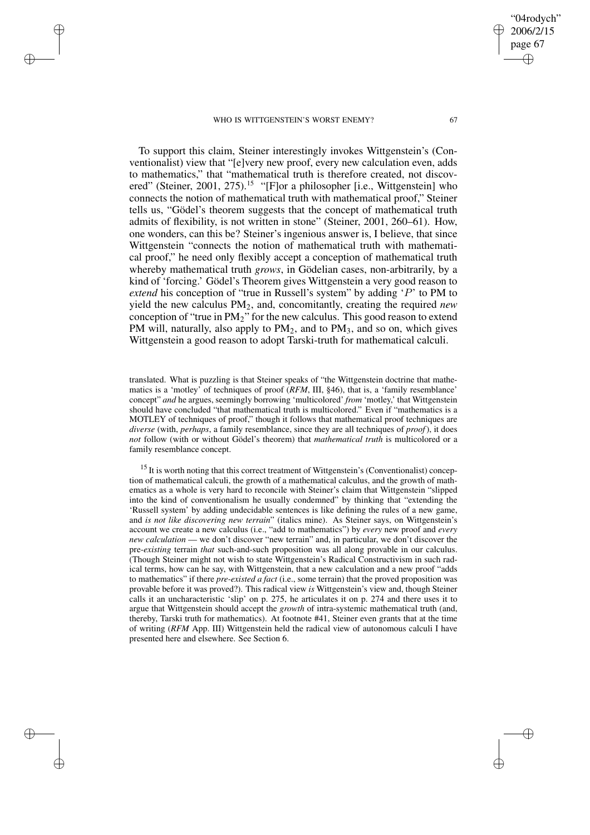✐

✐

✐

✐

To support this claim, Steiner interestingly invokes Wittgenstein's (Conventionalist) view that "[e]very new proof, every new calculation even, adds to mathematics," that "mathematical truth is therefore created, not discovered" (Steiner, 2001, 275).<sup>15</sup> "[F]or a philosopher [i.e., Wittgenstein] who connects the notion of mathematical truth with mathematical proof," Steiner tells us, "Gödel's theorem suggests that the concept of mathematical truth admits of flexibility, is not written in stone" (Steiner, 2001, 260–61). How, one wonders, can this be? Steiner's ingenious answer is, I believe, that since Wittgenstein "connects the notion of mathematical truth with mathemati-

cal proof," he need only flexibly accept a conception of mathematical truth whereby mathematical truth *grows*, in Gödelian cases, non-arbitrarily, by a kind of 'forcing.' Gödel's Theorem gives Wittgenstein a very good reason to *extend* his conception of "true in Russell's system" by adding 'P' to PM to yield the new calculus PM2, and, concomitantly, creating the required *new* conception of "true in  $PM_2$ " for the new calculus. This good reason to extend PM will, naturally, also apply to  $PM<sub>2</sub>$ , and to  $PM<sub>3</sub>$ , and so on, which gives Wittgenstein a good reason to adopt Tarski-truth for mathematical calculi.

translated. What is puzzling is that Steiner speaks of "the Wittgenstein doctrine that mathematics is a 'motley' of techniques of proof (*RFM*, III, §46), that is, a 'family resemblance' concept" *and* he argues, seemingly borrowing 'multicolored' *from* 'motley,' that Wittgenstein should have concluded "that mathematical truth is multicolored." Even if "mathematics is a MOTLEY of techniques of proof," though it follows that mathematical proof techniques are *diverse* (with, *perhaps*, a family resemblance, since they are all techniques of *proof*), it does *not* follow (with or without Gödel's theorem) that *mathematical truth* is multicolored or a family resemblance concept.

<sup>15</sup> It is worth noting that this correct treatment of Wittgenstein's (Conventionalist) conception of mathematical calculi, the growth of a mathematical calculus, and the growth of mathematics as a whole is very hard to reconcile with Steiner's claim that Wittgenstein "slipped into the kind of conventionalism he usually condemned" by thinking that "extending the 'Russell system' by adding undecidable sentences is like defining the rules of a new game, and *is not like discovering new terrain*" (italics mine). As Steiner says, on Wittgenstein's account we create a new calculus (i.e., "add to mathematics") by *every* new proof and *every new calculation* — we don't discover "new terrain" and, in particular, we don't discover the pre-*existing* terrain *that* such-and-such proposition was all along provable in our calculus. (Though Steiner might not wish to state Wittgenstein's Radical Constructivism in such radical terms, how can he say, with Wittgenstein, that a new calculation and a new proof "adds to mathematics" if there *pre-existed a fact* (i.e., some terrain) that the proved proposition was provable before it was proved?). This radical view *is* Wittgenstein's view and, though Steiner calls it an uncharacteristic 'slip' on p. 275, he articulates it on p. 274 and there uses it to argue that Wittgenstein should accept the *growth* of intra-systemic mathematical truth (and, thereby, Tarski truth for mathematics). At footnote #41, Steiner even grants that at the time of writing (*RFM* App. III) Wittgenstein held the radical view of autonomous calculi I have presented here and elsewhere. See Section 6.

"04rodych" 2006/2/15 page 67

✐

✐

✐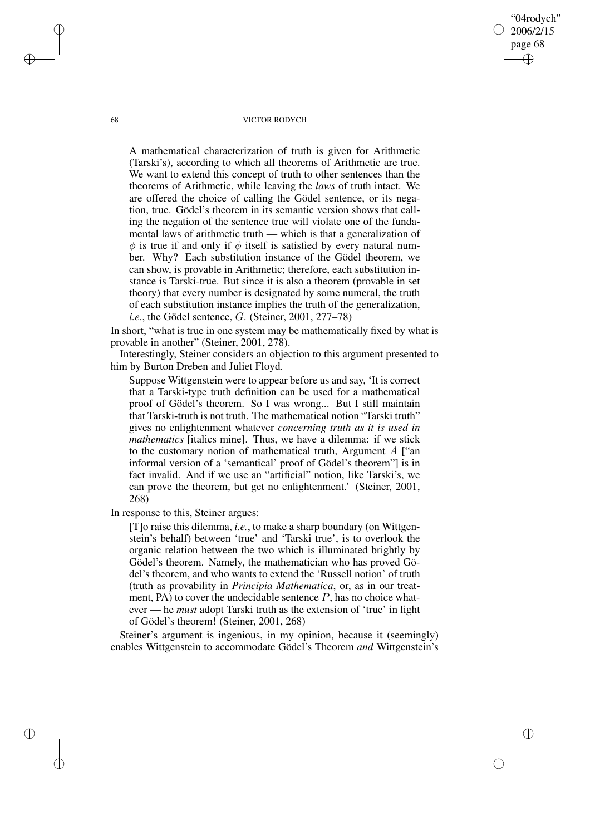68 VICTOR RODYCH

"04rodych" 2006/2/15 page 68

✐

✐

✐

✐

A mathematical characterization of truth is given for Arithmetic (Tarski's), according to which all theorems of Arithmetic are true. We want to extend this concept of truth to other sentences than the theorems of Arithmetic, while leaving the *laws* of truth intact. We are offered the choice of calling the Gödel sentence, or its negation, true. Gödel's theorem in its semantic version shows that calling the negation of the sentence true will violate one of the fundamental laws of arithmetic truth — which is that a generalization of  $\phi$  is true if and only if  $\phi$  itself is satisfied by every natural number. Why? Each substitution instance of the Gödel theorem, we can show, is provable in Arithmetic; therefore, each substitution instance is Tarski-true. But since it is also a theorem (provable in set theory) that every number is designated by some numeral, the truth of each substitution instance implies the truth of the generalization, *i.e.*, the Gödel sentence, G. (Steiner, 2001, 277–78)

In short, "what is true in one system may be mathematically fixed by what is provable in another" (Steiner, 2001, 278).

Interestingly, Steiner considers an objection to this argument presented to him by Burton Dreben and Juliet Floyd.

Suppose Wittgenstein were to appear before us and say, 'It is correct that a Tarski-type truth definition can be used for a mathematical proof of Gödel's theorem. So I was wrong... But I still maintain that Tarski-truth is not truth. The mathematical notion "Tarski truth" gives no enlightenment whatever *concerning truth as it is used in mathematics* [italics mine]. Thus, we have a dilemma: if we stick to the customary notion of mathematical truth, Argument  $A$  ["an informal version of a 'semantical' proof of Gödel's theorem"] is in fact invalid. And if we use an "artificial" notion, like Tarski's, we can prove the theorem, but get no enlightenment.' (Steiner, 2001, 268)

In response to this, Steiner argues:

[T]o raise this dilemma, *i.e.*, to make a sharp boundary (on Wittgenstein's behalf) between 'true' and 'Tarski true', is to overlook the organic relation between the two which is illuminated brightly by Gödel's theorem. Namely, the mathematician who has proved Gödel's theorem, and who wants to extend the 'Russell notion' of truth (truth as provability in *Principia Mathematica*, or, as in our treatment, PA) to cover the undecidable sentence  $P$ , has no choice whatever — he *must* adopt Tarski truth as the extension of 'true' in light of Gödel's theorem! (Steiner, 2001, 268)

Steiner's argument is ingenious, in my opinion, because it (seemingly) enables Wittgenstein to accommodate Gödel's Theorem *and* Wittgenstein's

✐

✐

✐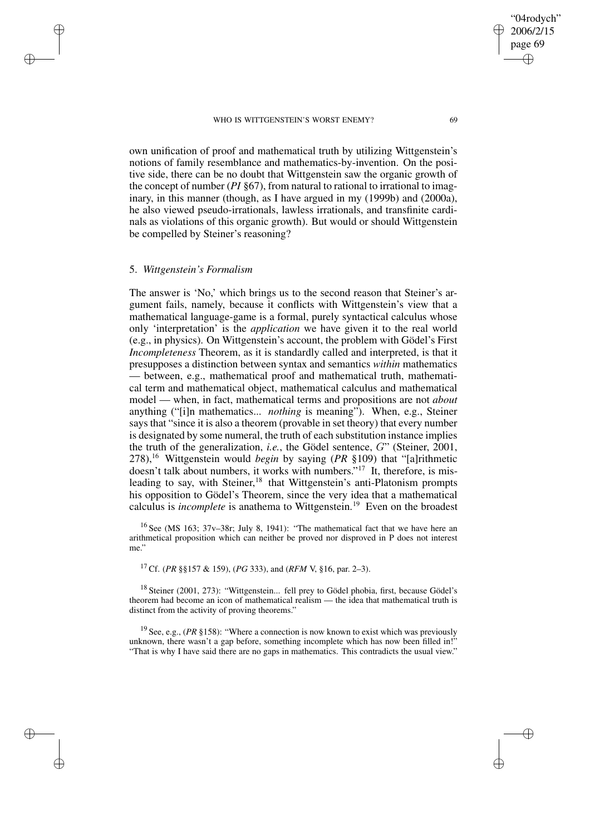own unification of proof and mathematical truth by utilizing Wittgenstein's notions of family resemblance and mathematics-by-invention. On the positive side, there can be no doubt that Wittgenstein saw the organic growth of the concept of number (*PI* §67), from natural to rational to irrational to imaginary, in this manner (though, as I have argued in my (1999b) and (2000a), he also viewed pseudo-irrationals, lawless irrationals, and transfinite cardinals as violations of this organic growth). But would or should Wittgenstein be compelled by Steiner's reasoning?

## 5. *Wittgenstein's Formalism*

✐

✐

✐

✐

The answer is 'No,' which brings us to the second reason that Steiner's argument fails, namely, because it conflicts with Wittgenstein's view that a mathematical language-game is a formal, purely syntactical calculus whose only 'interpretation' is the *application* we have given it to the real world (e.g., in physics). On Wittgenstein's account, the problem with Gödel's First *Incompleteness* Theorem, as it is standardly called and interpreted, is that it presupposes a distinction between syntax and semantics *within* mathematics between, e.g., mathematical proof and mathematical truth, mathematical term and mathematical object, mathematical calculus and mathematical model — when, in fact, mathematical terms and propositions are not *about* anything ("[i]n mathematics... *nothing* is meaning"). When, e.g., Steiner says that "since it is also a theorem (provable in set theory) that every number is designated by some numeral, the truth of each substitution instance implies the truth of the generalization, *i.e.*, the Gödel sentence, G" (Steiner, 2001, 278),<sup>16</sup> Wittgenstein would *begin* by saying (*PR* §109) that "[a]rithmetic doesn't talk about numbers, it works with numbers." <sup>17</sup> It, therefore, is misleading to say, with Steiner,<sup>18</sup> that Wittgenstein's anti-Platonism prompts his opposition to Gödel's Theorem, since the very idea that a mathematical calculus is *incomplete* is anathema to Wittgenstein.<sup>19</sup> Even on the broadest

<sup>16</sup> See (MS 163;  $37v-38r$ ; July 8, 1941): "The mathematical fact that we have here an arithmetical proposition which can neither be proved nor disproved in P does not interest me."

<sup>17</sup> Cf. (*PR* §§157 & 159), (*PG* 333), and (*RFM* V, §16, par. 2–3).

<sup>18</sup> Steiner (2001, 273): "Wittgenstein... fell prey to Gödel phobia, first, because Gödel's theorem had become an icon of mathematical realism — the idea that mathematical truth is distinct from the activity of proving theorems."

<sup>19</sup> See, e.g., (*PR* §158): "Where a connection is now known to exist which was previously unknown, there wasn't a gap before, something incomplete which has now been filled in!" "That is why I have said there are no gaps in mathematics. This contradicts the usual view."

✐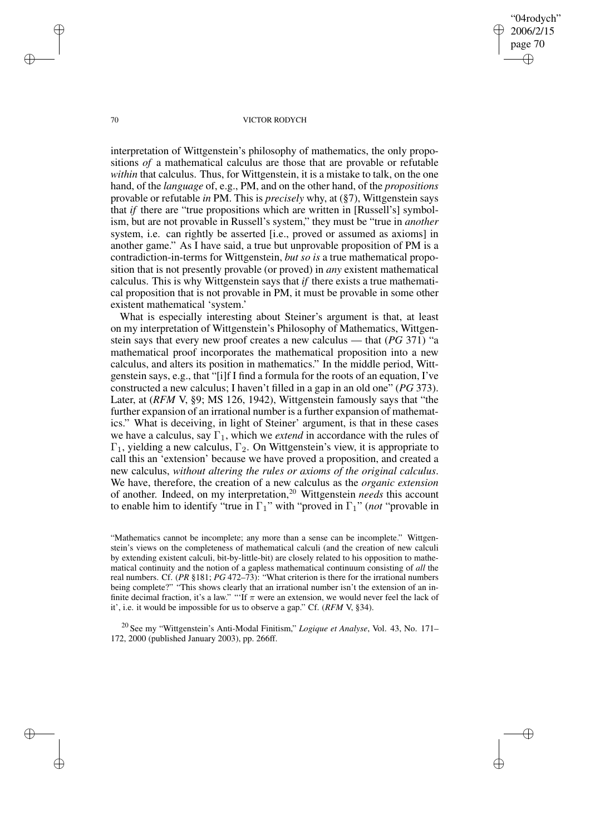"04rodych" 2006/2/15 page 70 ✐ ✐

✐

✐

## 70 VICTOR RODYCH

interpretation of Wittgenstein's philosophy of mathematics, the only propositions *of* a mathematical calculus are those that are provable or refutable *within* that calculus. Thus, for Wittgenstein, it is a mistake to talk, on the one hand, of the *language* of, e.g., PM, and on the other hand, of the *propositions* provable or refutable *in* PM. This is *precisely* why, at (§7), Wittgenstein says that *if* there are "true propositions which are written in [Russell's] symbolism, but are not provable in Russell's system," they must be "true in *another* system, i.e. can rightly be asserted [i.e., proved or assumed as axioms] in another game." As I have said, a true but unprovable proposition of PM is a contradiction-in-terms for Wittgenstein, *but so is* a true mathematical proposition that is not presently provable (or proved) in *any* existent mathematical calculus. This is why Wittgenstein says that *if* there exists a true mathematical proposition that is not provable in PM, it must be provable in some other existent mathematical 'system.'

What is especially interesting about Steiner's argument is that, at least on my interpretation of Wittgenstein's Philosophy of Mathematics, Wittgenstein says that every new proof creates a new calculus — that (*PG* 371) "a mathematical proof incorporates the mathematical proposition into a new calculus, and alters its position in mathematics." In the middle period, Wittgenstein says, e.g., that "[i]f I find a formula for the roots of an equation, I've constructed a new calculus; I haven't filled in a gap in an old one" (*PG* 373). Later, at (*RFM* V, §9; MS 126, 1942), Wittgenstein famously says that "the further expansion of an irrational number is a further expansion of mathematics." What is deceiving, in light of Steiner' argument, is that in these cases we have a calculus, say  $\Gamma_1$ , which we *extend* in accordance with the rules of  $\Gamma_1$ , yielding a new calculus,  $\Gamma_2$ . On Wittgenstein's view, it is appropriate to call this an 'extension' because we have proved a proposition, and created a new calculus, *without altering the rules or axioms of the original calculus*. We have, therefore, the creation of a new calculus as the *organic extension* of another. Indeed, on my interpretation,<sup>20</sup> Wittgenstein *needs* this account to enable him to identify "true in Γ1" with "proved in Γ1" (*not* "provable in

<sup>20</sup> See my "Wittgenstein's Anti-Modal Finitism," *Logique et Analyse*, Vol. 43, No. 171– 172, 2000 (published January 2003), pp. 266ff.

✐

✐

✐

<sup>&</sup>quot;Mathematics cannot be incomplete; any more than a sense can be incomplete." Wittgenstein's views on the completeness of mathematical calculi (and the creation of new calculi by extending existent calculi, bit-by-little-bit) are closely related to his opposition to mathematical continuity and the notion of a gapless mathematical continuum consisting of *all* the real numbers. Cf. (*PR* §181; *PG* 472–73): "What criterion is there for the irrational numbers being complete?" "This shows clearly that an irrational number isn't the extension of an infinite decimal fraction, it's a law." "If  $\pi$  were an extension, we would never feel the lack of it', i.e. it would be impossible for us to observe a gap." Cf. (*RFM* V, §34).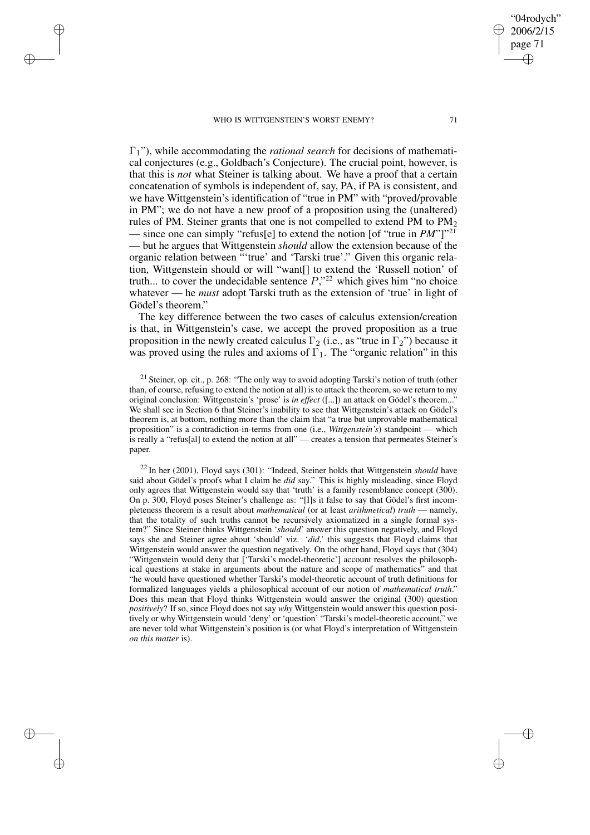✐

✐

✐

✐

Γ1"), while accommodating the *rational search* for decisions of mathematical conjectures (e.g., Goldbach's Conjecture). The crucial point, however, is that this is *not* what Steiner is talking about. We have a proof that a certain concatenation of symbols is independent of, say, PA, if PA is consistent, and we have Wittgenstein's identification of "true in PM" with "proved/provable in PM"; we do not have a new proof of a proposition using the (unaltered) rules of PM. Steiner grants that one is not compelled to extend PM to  $PM<sub>2</sub>$ — since one can simply "refus[e] to extend the notion [of "true in *PM*"]"<sup>21</sup> — but he argues that Wittgenstein *should* allow the extension because of the organic relation between "'true' and 'Tarski true'." Given this organic relation, Wittgenstein should or will "want[] to extend the 'Russell notion' of truth... to cover the undecidable sentence  $P$ ,"<sup>22</sup> which gives him "no choice whatever — he *must* adopt Tarski truth as the extension of 'true' in light of Gödel's theorem."

The key difference between the two cases of calculus extension/creation is that, in Wittgenstein's case, we accept the proved proposition as a true proposition in the newly created calculus  $\Gamma_2$  (i.e., as "true in  $\Gamma_2$ ") because it was proved using the rules and axioms of  $\Gamma_1$ . The "organic relation" in this

<sup>21</sup> Steiner, op. cit., p. 268: "The only way to avoid adopting Tarski's notion of truth (other than, of course, refusing to extend the notion at all) isto attack the theorem, so we return to my original conclusion: Wittgenstein's 'prose' is *in effect* ([...]) an attack on Gödel's theorem... We shall see in Section 6 that Steiner's inability to see that Wittgenstein's attack on Gödel's theorem is, at bottom, nothing more than the claim that "a true but unprovable mathematical proposition" is a contradiction-in-terms from one (i.e., *Wittgenstein's*) standpoint — which is really a "refus[al] to extend the notion at all" — creates a tension that permeates Steiner's paper.

<sup>22</sup> In her (2001), Floyd says (301): "Indeed, Steiner holds that Wittgenstein *should* have said about Gödel's proofs what I claim he *did* say." This is highly misleading, since Floyd only agrees that Wittgenstein would say that 'truth' is a family resemblance concept (300). On p. 300, Floyd poses Steiner's challenge as: "[I]s it false to say that Gödel's first incompleteness theorem is a result about *mathematical* (or at least *arithmetical*) *truth* — namely, that the totality of such truths cannot be recursively axiomatized in a single formal system?" Since Steiner thinks Wittgenstein '*should*' answer this question negatively, and Floyd says she and Steiner agree about 'should' viz. '*did*,' this suggests that Floyd claims that Wittgenstein would answer the question negatively. On the other hand, Floyd says that (304) "Wittgenstein would deny that ['Tarski's model-theoretic'] account resolves the philosophical questions at stake in arguments about the nature and scope of mathematics" and that "he would have questioned whether Tarski's model-theoretic account of truth definitions for formalized languages yields a philosophical account of our notion of *mathematical truth*." Does this mean that Floyd thinks Wittgenstein would answer the original (300) question *positively*? If so, since Floyd does not say *why* Wittgenstein would answer this question positively or why Wittgenstein would 'deny' or 'question' "Tarski's model-theoretic account," we are never told what Wittgenstein's position is (or what Floyd's interpretation of Wittgenstein *on this matter* is).

"04rodych" 2006/2/15 page 71

✐

✐

✐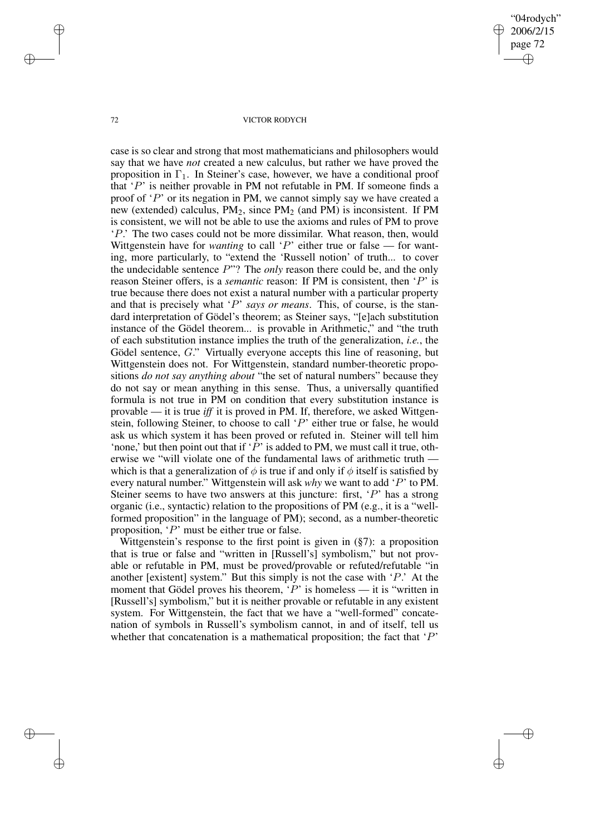"04rodych" 2006/2/15 page 72 ✐ ✐

✐

✐

## 72 VICTOR RODYCH

case is so clear and strong that most mathematicians and philosophers would say that we have *not* created a new calculus, but rather we have proved the proposition in  $\Gamma_1$ . In Steiner's case, however, we have a conditional proof that  $P'$  is neither provable in PM not refutable in PM. If someone finds a proof of 'P' or its negation in PM, we cannot simply say we have created a new (extended) calculus,  $PM<sub>2</sub>$ , since  $PM<sub>2</sub>$  (and PM) is inconsistent. If PM is consistent, we will not be able to use the axioms and rules of PM to prove 'P.' The two cases could not be more dissimilar. What reason, then, would Wittgenstein have for *wanting* to call 'P' either true or false — for wanting, more particularly, to "extend the 'Russell notion' of truth... to cover the undecidable sentence P"? The *only* reason there could be, and the only reason Steiner offers, is a *semantic* reason: If PM is consistent, then 'P' is true because there does not exist a natural number with a particular property and that is precisely what 'P' *says or means*. This, of course, is the standard interpretation of Gödel's theorem; as Steiner says, "[e]ach substitution instance of the Gödel theorem... is provable in Arithmetic," and "the truth of each substitution instance implies the truth of the generalization, *i.e.*, the Gödel sentence, G." Virtually everyone accepts this line of reasoning, but Wittgenstein does not. For Wittgenstein, standard number-theoretic propositions *do not say anything about* "the set of natural numbers" because they do not say or mean anything in this sense. Thus, a universally quantified formula is not true in PM on condition that every substitution instance is provable — it is true *iff* it is proved in PM. If, therefore, we asked Wittgenstein, following Steiner, to choose to call 'P' either true or false, he would ask us which system it has been proved or refuted in. Steiner will tell him 'none,' but then point out that if ' $\overline{P}$ ' is added to PM, we must call it true, otherwise we "will violate one of the fundamental laws of arithmetic truth which is that a generalization of  $\phi$  is true if and only if  $\phi$  itself is satisfied by every natural number." Wittgenstein will ask *why* we want to add 'P' to PM. Steiner seems to have two answers at this juncture: first, 'P' has a strong organic (i.e., syntactic) relation to the propositions of PM (e.g., it is a "wellformed proposition" in the language of PM); second, as a number-theoretic proposition, 'P' must be either true or false.

Wittgenstein's response to the first point is given in (§7): a proposition that is true or false and "written in [Russell's] symbolism," but not provable or refutable in PM, must be proved/provable or refuted/refutable "in another [existent] system." But this simply is not the case with  $P$ .' At the moment that Gödel proves his theorem,  $\hat{P}'$  is homeless — it is "written in [Russell's] symbolism," but it is neither provable or refutable in any existent system. For Wittgenstein, the fact that we have a "well-formed" concatenation of symbols in Russell's symbolism cannot, in and of itself, tell us whether that concatenation is a mathematical proposition; the fact that  $P'$ 

✐

✐

✐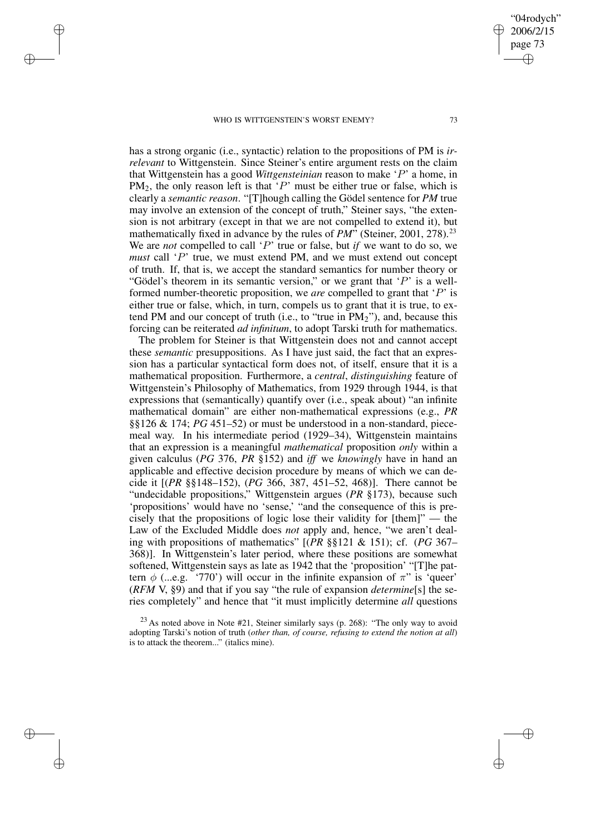✐

✐

✐

✐

has a strong organic (i.e., syntactic) relation to the propositions of PM is *irrelevant* to Wittgenstein. Since Steiner's entire argument rests on the claim that Wittgenstein has a good *Wittgensteinian* reason to make 'P' a home, in  $PM<sub>2</sub>$ , the only reason left is that 'P' must be either true or false, which is clearly a *semantic reason*. "[T]hough calling the Gödel sentence for *PM* true may involve an extension of the concept of truth," Steiner says, "the extension is not arbitrary (except in that we are not compelled to extend it), but mathematically fixed in advance by the rules of *PM*" (Steiner, 2001, 278).<sup>23</sup> We are *not* compelled to call 'P' true or false, but *if* we want to do so, we *must* call 'P' true, we must extend PM, and we must extend out concept of truth. If, that is, we accept the standard semantics for number theory or "Gödel's theorem in its semantic version," or we grant that  $'P'$  is a wellformed number-theoretic proposition, we *are* compelled to grant that 'P' is either true or false, which, in turn, compels us to grant that it is true, to extend PM and our concept of truth (i.e., to "true in PM2"), and, because this forcing can be reiterated *ad infinitum*, to adopt Tarski truth for mathematics.

The problem for Steiner is that Wittgenstein does not and cannot accept these *semantic* presuppositions. As I have just said, the fact that an expression has a particular syntactical form does not, of itself, ensure that it is a mathematical proposition. Furthermore, a *central*, *distinguishing* feature of Wittgenstein's Philosophy of Mathematics, from 1929 through 1944, is that expressions that (semantically) quantify over (i.e., speak about) "an infinite mathematical domain" are either non-mathematical expressions (e.g., *PR* §§126 & 174; *PG* 451–52) or must be understood in a non-standard, piecemeal way. In his intermediate period (1929–34), Wittgenstein maintains that an expression is a meaningful *mathematical* proposition *only* within a given calculus (*PG* 376, *PR* §152) and *iff* we *knowingly* have in hand an applicable and effective decision procedure by means of which we can decide it [(*PR* §§148–152), (*PG* 366, 387, 451–52, 468)]. There cannot be "undecidable propositions," Wittgenstein argues (*PR* §173), because such 'propositions' would have no 'sense,' "and the consequence of this is precisely that the propositions of logic lose their validity for [them]" — the Law of the Excluded Middle does *not* apply and, hence, "we aren't dealing with propositions of mathematics" [(*PR* §§121 & 151); cf. (*PG* 367– 368)]. In Wittgenstein's later period, where these positions are somewhat softened, Wittgenstein says as late as 1942 that the 'proposition' "[T]he pattern  $\phi$  (...e.g. '770') will occur in the infinite expansion of  $\pi$ " is 'queer' (*RFM* V, §9) and that if you say "the rule of expansion *determine*[s] the series completely" and hence that "it must implicitly determine *all* questions

"04rodych" 2006/2/15 page 73

✐

✐

✐

 $2<sup>23</sup>$  As noted above in Note #21, Steiner similarly says (p. 268): "The only way to avoid adopting Tarski's notion of truth (*other than, of course, refusing to extend the notion at all*) is to attack the theorem..." (italics mine).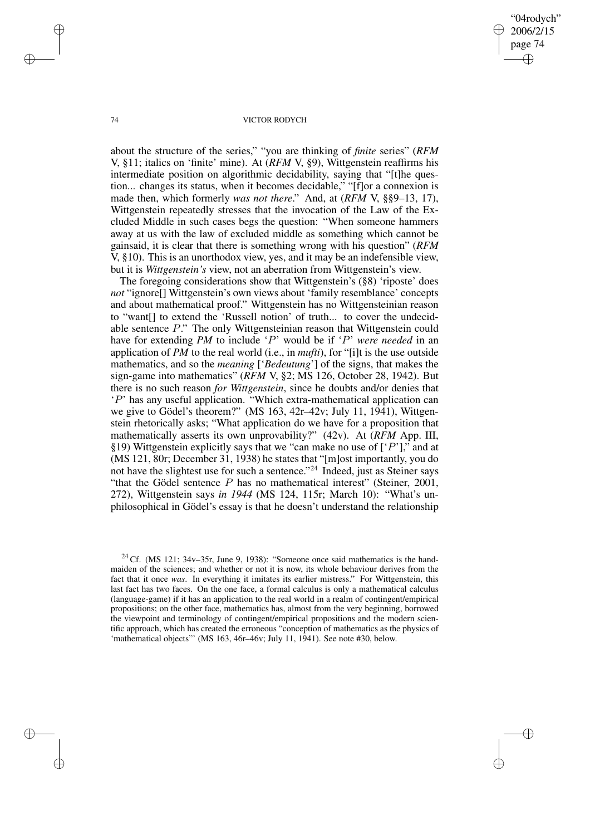"04rodych" 2006/2/15 page 74 ✐ ✐

✐

✐

## 74 VICTOR RODYCH

about the structure of the series," "you are thinking of *finite* series" (*RFM* V, §11; italics on 'finite' mine). At (*RFM* V, §9), Wittgenstein reaffirms his intermediate position on algorithmic decidability, saying that "[t]he question... changes its status, when it becomes decidable," "[f]or a connexion is made then, which formerly *was not there*." And, at (*RFM* V, §§9–13, 17), Wittgenstein repeatedly stresses that the invocation of the Law of the Excluded Middle in such cases begs the question: "When someone hammers away at us with the law of excluded middle as something which cannot be gainsaid, it is clear that there is something wrong with his question" (*RFM* V, §10). This is an unorthodox view, yes, and it may be an indefensible view, but it is *Wittgenstein's* view, not an aberration from Wittgenstein's view.

The foregoing considerations show that Wittgenstein's (§8) 'riposte' does *not* "ignore[] Wittgenstein's own views about 'family resemblance' concepts and about mathematical proof." Wittgenstein has no Wittgensteinian reason to "want[] to extend the 'Russell notion' of truth... to cover the undecidable sentence P." The only Wittgensteinian reason that Wittgenstein could have for extending *PM* to include 'P' would be if 'P' *were needed* in an application of *PM* to the real world (i.e., in *mufti*), for "[i]t is the use outside mathematics, and so the *meaning* ['*Bedeutung*'] of the signs, that makes the sign-game into mathematics" (*RFM* V, §2; MS 126, October 28, 1942). But there is no such reason *for Wittgenstein*, since he doubts and/or denies that 'P' has any useful application. "Which extra-mathematical application can we give to Gödel's theorem?" (MS 163, 42r–42v; July 11, 1941), Wittgenstein rhetorically asks; "What application do we have for a proposition that mathematically asserts its own unprovability?" (42v). At (*RFM* App. III, §19) Wittgenstein explicitly says that we "can make no use of  $[{}'P'$ ]," and at (MS 121, 80r; December 31, 1938) he states that "[m]ost importantly, you do not have the slightest use for such a sentence." <sup>24</sup> Indeed, just as Steiner says "that the Gödel sentence  $P$  has no mathematical interest" (Steiner, 2001, 272), Wittgenstein says *in 1944* (MS 124, 115r; March 10): "What's unphilosophical in Gödel's essay is that he doesn't understand the relationship

✐

✐

✐

 $24$  Cf. (MS 121; 34v–35r, June 9, 1938): "Someone once said mathematics is the handmaiden of the sciences; and whether or not it is now, its whole behaviour derives from the fact that it once *was*. In everything it imitates its earlier mistress." For Wittgenstein, this last fact has two faces. On the one face, a formal calculus is only a mathematical calculus (language-game) if it has an application to the real world in a realm of contingent/empirical propositions; on the other face, mathematics has, almost from the very beginning, borrowed the viewpoint and terminology of contingent/empirical propositions and the modern scientific approach, which has created the erroneous "conception of mathematics as the physics of 'mathematical objects'" (MS 163, 46r–46v; July 11, 1941). See note #30, below.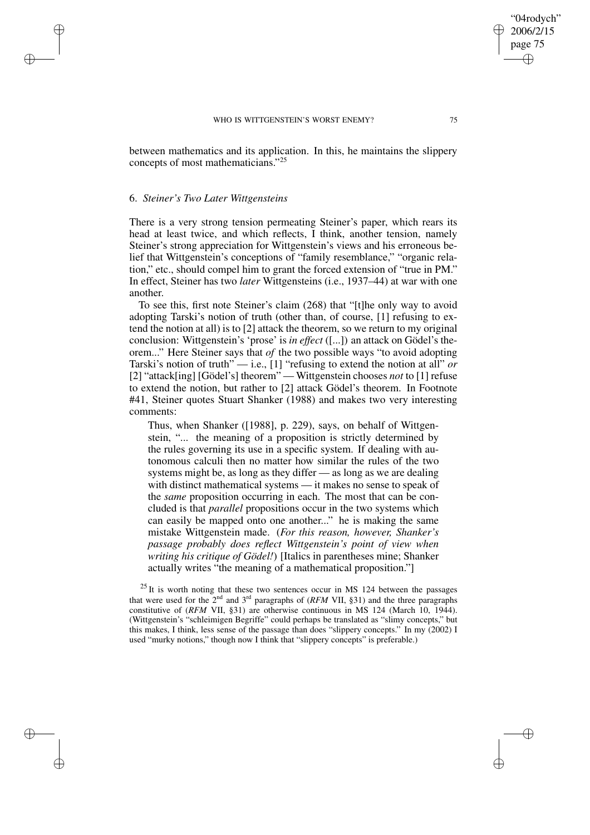between mathematics and its application. In this, he maintains the slippery concepts of most mathematicians." 25

## 6. *Steiner's Two Later Wittgensteins*

✐

✐

✐

✐

There is a very strong tension permeating Steiner's paper, which rears its head at least twice, and which reflects, I think, another tension, namely Steiner's strong appreciation for Wittgenstein's views and his erroneous belief that Wittgenstein's conceptions of "family resemblance," "organic relation," etc., should compel him to grant the forced extension of "true in PM." In effect, Steiner has two *later* Wittgensteins (i.e., 1937–44) at war with one another.

To see this, first note Steiner's claim (268) that "[t]he only way to avoid adopting Tarski's notion of truth (other than, of course, [1] refusing to extend the notion at all) is to [2] attack the theorem, so we return to my original conclusion: Wittgenstein's 'prose' is *in effect* ([...]) an attack on Gödel's theorem..." Here Steiner says that *of* the two possible ways "to avoid adopting Tarski's notion of truth" — i.e., [1] "refusing to extend the notion at all" *or* [2] "attack[ing] [Gödel's] theorem" — Wittgenstein chooses *not* to [1] refuse to extend the notion, but rather to [2] attack Gödel's theorem. In Footnote #41, Steiner quotes Stuart Shanker (1988) and makes two very interesting comments:

Thus, when Shanker ([1988], p. 229), says, on behalf of Wittgenstein, "... the meaning of a proposition is strictly determined by the rules governing its use in a specific system. If dealing with autonomous calculi then no matter how similar the rules of the two systems might be, as long as they differ — as long as we are dealing with distinct mathematical systems — it makes no sense to speak of the *same* proposition occurring in each. The most that can be concluded is that *parallel* propositions occur in the two systems which can easily be mapped onto one another..." he is making the same mistake Wittgenstein made. (*For this reason, however, Shanker's passage probably does reflect Wittgenstein's point of view when writing his critique of Gödel!*) [Italics in parentheses mine; Shanker actually writes "the meaning of a mathematical proposition."]

 $25$  It is worth noting that these two sentences occur in MS 124 between the passages that were used for the  $2<sup>nd</sup>$  and  $3<sup>rd</sup>$  paragraphs of (*RFM* VII, §31) and the three paragraphs constitutive of (*RFM* VII, §31) are otherwise continuous in MS 124 (March 10, 1944). (Wittgenstein's "schleimigen Begriffe" could perhaps be translated as "slimy concepts," but this makes, I think, less sense of the passage than does "slippery concepts." In my (2002) I used "murky notions," though now I think that "slippery concepts" is preferable.)

"04rodych" 2006/2/15 page 75

✐

✐

✐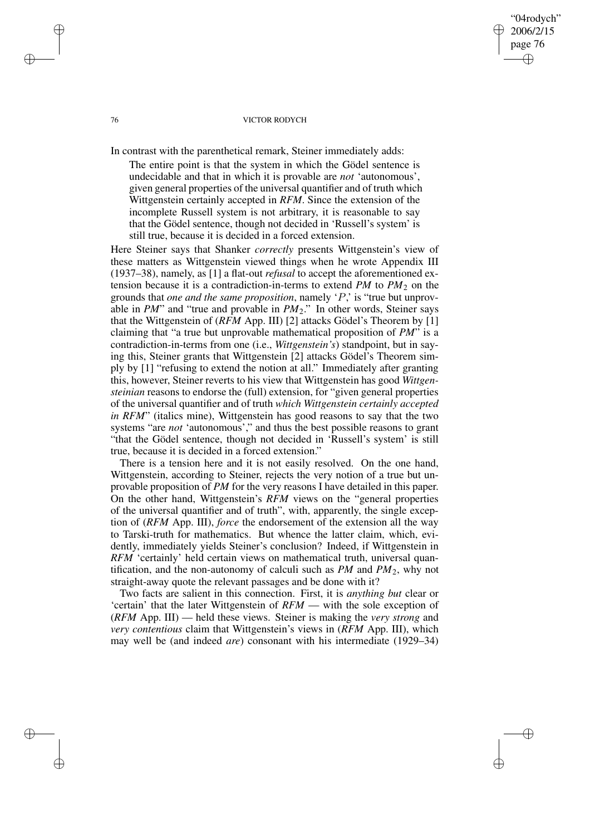## 76 VICTOR RODYCH

"04rodych" 2006/2/15 page 76

✐

✐

✐

✐

In contrast with the parenthetical remark, Steiner immediately adds:

The entire point is that the system in which the Gödel sentence is undecidable and that in which it is provable are *not* 'autonomous', given general properties of the universal quantifier and of truth which Wittgenstein certainly accepted in *RFM*. Since the extension of the incomplete Russell system is not arbitrary, it is reasonable to say that the Gödel sentence, though not decided in 'Russell's system' is still true, because it is decided in a forced extension.

Here Steiner says that Shanker *correctly* presents Wittgenstein's view of these matters as Wittgenstein viewed things when he wrote Appendix III (1937–38), namely, as [1] a flat-out *refusal* to accept the aforementioned extension because it is a contradiction-in-terms to extend  $PM$  to  $PM<sub>2</sub>$  on the grounds that *one and the same proposition*, namely 'P,' is "true but unprovable in *PM*" and "true and provable in *PM*2." In other words, Steiner says that the Wittgenstein of (*RFM* App. III) [2] attacks Gödel's Theorem by [1] claiming that "a true but unprovable mathematical proposition of *PM*" is a contradiction-in-terms from one (i.e., *Wittgenstein's*) standpoint, but in saying this, Steiner grants that Wittgenstein [2] attacks Gödel's Theorem simply by [1] "refusing to extend the notion at all." Immediately after granting this, however, Steiner reverts to his view that Wittgenstein has good *Wittgensteinian* reasons to endorse the (full) extension, for "given general properties of the universal quantifier and of truth *which Wittgenstein certainly accepted in RFM*" (italics mine), Wittgenstein has good reasons to say that the two systems "are *not* 'autonomous'," and thus the best possible reasons to grant "that the Gödel sentence, though not decided in 'Russell's system' is still true, because it is decided in a forced extension."

There is a tension here and it is not easily resolved. On the one hand, Wittgenstein, according to Steiner, rejects the very notion of a true but unprovable proposition of *PM* for the very reasons I have detailed in this paper. On the other hand, Wittgenstein's *RFM* views on the "general properties of the universal quantifier and of truth", with, apparently, the single exception of (*RFM* App. III), *force* the endorsement of the extension all the way to Tarski-truth for mathematics. But whence the latter claim, which, evidently, immediately yields Steiner's conclusion? Indeed, if Wittgenstein in *RFM* 'certainly' held certain views on mathematical truth, universal quantification, and the non-autonomy of calculi such as  $PM$  and  $PM<sub>2</sub>$ , why not straight-away quote the relevant passages and be done with it?

Two facts are salient in this connection. First, it is *anything but* clear or 'certain' that the later Wittgenstein of *RFM* — with the sole exception of (*RFM* App. III) — held these views. Steiner is making the *very strong* and *very contentious* claim that Wittgenstein's views in (*RFM* App. III), which may well be (and indeed *are*) consonant with his intermediate (1929–34)

✐

✐

✐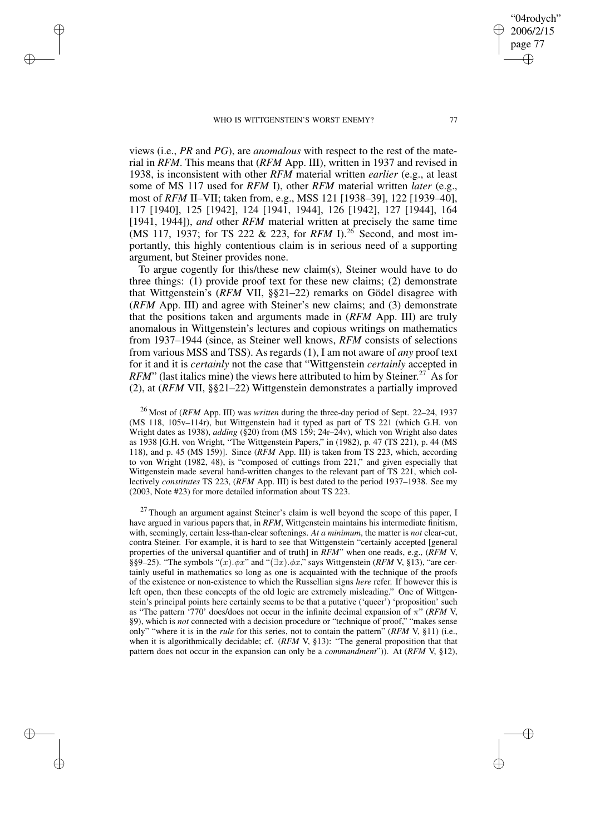✐

✐

✐

✐

views (i.e., *PR* and *PG*), are *anomalous* with respect to the rest of the material in *RFM*. This means that (*RFM* App. III), written in 1937 and revised in 1938, is inconsistent with other *RFM* material written *earlier* (e.g., at least some of MS 117 used for *RFM* I), other *RFM* material written *later* (e.g., most of *RFM* II–VII; taken from, e.g., MSS 121 [1938–39], 122 [1939–40], 117 [1940], 125 [1942], 124 [1941, 1944], 126 [1942], 127 [1944], 164 [1941, 1944]), *and* other *RFM* material written at precisely the same time (MS 117, 1937; for TS 222 & 223, for *RFM* I).<sup>26</sup> Second, and most importantly, this highly contentious claim is in serious need of a supporting argument, but Steiner provides none.

To argue cogently for this/these new claim(s), Steiner would have to do three things: (1) provide proof text for these new claims; (2) demonstrate that Wittgenstein's (*RFM* VII, §§21–22) remarks on Gödel disagree with (*RFM* App. III) and agree with Steiner's new claims; and (3) demonstrate that the positions taken and arguments made in (*RFM* App. III) are truly anomalous in Wittgenstein's lectures and copious writings on mathematics from 1937–1944 (since, as Steiner well knows, *RFM* consists of selections from various MSS and TSS). As regards (1), I am not aware of *any* proof text for it and it is *certainly* not the case that "Wittgenstein *certainly* accepted in *RFM*" (last italics mine) the views here attributed to him by Steiner.<sup>27</sup> As for (2), at (*RFM* VII, §§21–22) Wittgenstein demonstrates a partially improved

<sup>26</sup> Most of (*RFM* App. III) was *written* during the three-day period of Sept. 22–24, 1937 (MS 118, 105v–114r), but Wittgenstein had it typed as part of TS 221 (which G.H. von Wright dates as 1938), *adding* (§20) from (MS 159; 24r–24v), which von Wright also dates as 1938 [G.H. von Wright, "The Wittgenstein Papers," in (1982), p. 47 (TS 221), p. 44 (MS 118), and p. 45 (MS 159)]. Since (*RFM* App. III) is taken from TS 223, which, according to von Wright (1982, 48), is "composed of cuttings from 221," and given especially that Wittgenstein made several hand-written changes to the relevant part of TS 221, which collectively *constitutes* TS 223, (*RFM* App. III) is best dated to the period 1937–1938. See my (2003, Note #23) for more detailed information about TS 223.

 $27$  Though an argument against Steiner's claim is well beyond the scope of this paper, I have argued in various papers that, in *RFM*, Wittgenstein maintains his intermediate finitism, with, seemingly, certain less-than-clear softenings. *At a minimum*, the matter is *not* clear-cut, contra Steiner. For example, it is hard to see that Wittgenstein "certainly accepted [general properties of the universal quantifier and of truth] in *RFM*" when one reads, e.g., (*RFM* V, §§9–25). "The symbols " $(x)$ . $\phi x$ " and " $(\exists x)$ . $\phi x$ ," says Wittgenstein (*RFM* V, §13), "are certainly useful in mathematics so long as one is acquainted with the technique of the proofs of the existence or non-existence to which the Russellian signs *here* refer. If however this is left open, then these concepts of the old logic are extremely misleading." One of Wittgenstein's principal points here certainly seems to be that a putative ('queer') 'proposition' such as "The pattern '770' does/does not occur in the infinite decimal expansion of π" (*RFM* V, §9), which is *not* connected with a decision procedure or "technique of proof," "makes sense only" "where it is in the *rule* for this series, not to contain the pattern" (*RFM* V, §11) (i.e., when it is algorithmically decidable; cf. (*RFM* V, §13): "The general proposition that that pattern does not occur in the expansion can only be a *commandment*")). At (*RFM* V, §12),

"04rodych" 2006/2/15 page 77

✐

✐

✐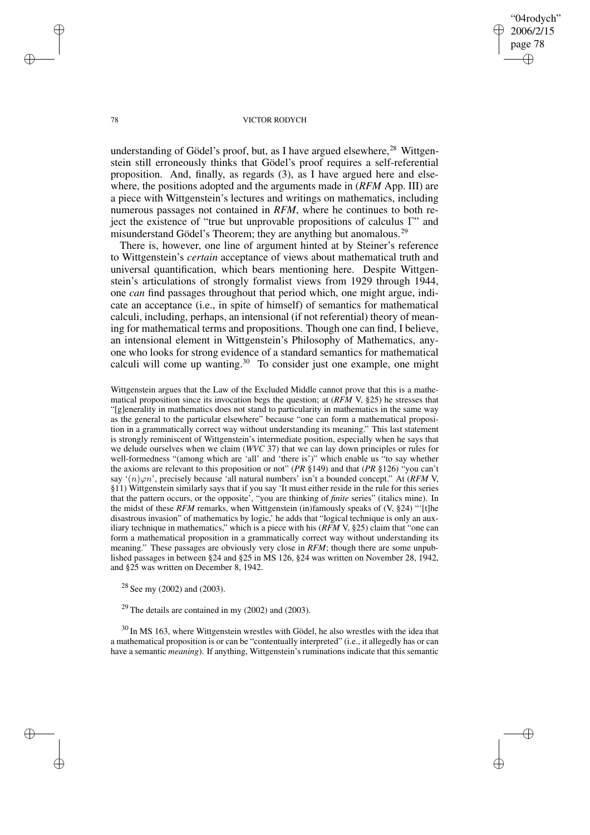"04rodych" 2006/2/15 page 78 ✐ ✐

✐

✐

## 78 VICTOR RODYCH

understanding of Gödel's proof, but, as I have argued elsewhere,  $28$  Wittgenstein still erroneously thinks that Gödel's proof requires a self-referential proposition. And, finally, as regards (3), as I have argued here and elsewhere, the positions adopted and the arguments made in (*RFM* App. III) are a piece with Wittgenstein's lectures and writings on mathematics, including numerous passages not contained in *RFM*, where he continues to both reject the existence of "true but unprovable propositions of calculus Γ" and misunderstand Gödel's Theorem; they are anything but anomalous.<sup>29</sup>

There is, however, one line of argument hinted at by Steiner's reference to Wittgenstein's *certain* acceptance of views about mathematical truth and universal quantification, which bears mentioning here. Despite Wittgenstein's articulations of strongly formalist views from 1929 through 1944, one *can* find passages throughout that period which, one might argue, indicate an acceptance (i.e., in spite of himself) of semantics for mathematical calculi, including, perhaps, an intensional (if not referential) theory of meaning for mathematical terms and propositions. Though one can find, I believe, an intensional element in Wittgenstein's Philosophy of Mathematics, anyone who looks for strong evidence of a standard semantics for mathematical calculi will come up wanting.<sup>30</sup> To consider just one example, one might

Wittgenstein argues that the Law of the Excluded Middle cannot prove that this is a mathematical proposition since its invocation begs the question; at (*RFM* V, §25) he stresses that "[g]enerality in mathematics does not stand to particularity in mathematics in the same way as the general to the particular elsewhere" because "one can form a mathematical proposition in a grammatically correct way without understanding its meaning." This last statement is strongly reminiscent of Wittgenstein's intermediate position, especially when he says that we delude ourselves when we claim (*WVC* 37) that we can lay down principles or rules for well-formedness "(among which are 'all' and 'there is')" which enable us "to say whether the axioms are relevant to this proposition or not" (*PR* §149) and that (*PR* §126) "you can't say ' $(n)\varphi n$ ', precisely because 'all natural numbers' isn't a bounded concept." At (*RFM* V, §11) Wittgenstein similarly says that if you say 'It must either reside in the rule for this series that the pattern occurs, or the opposite', "you are thinking of *finite* series" (italics mine). In the midst of these  $RFM$  remarks, when Wittgenstein (in)famously speaks of (V, §24) "'[t]he disastrous invasion" of mathematics by logic,' he adds that "logical technique is only an auxiliary technique in mathematics," which is a piece with his (*RFM* V, §25) claim that "one can form a mathematical proposition in a grammatically correct way without understanding its meaning." These passages are obviously very close in *RFM*; though there are some unpublished passages in between §24 and §25 in MS 126, §24 was written on November 28, 1942, and §25 was written on December 8, 1942.

<sup>28</sup> See my (2002) and (2003).

 $29$  The details are contained in my (2002) and (2003).

<sup>30</sup> In MS 163, where Wittgenstein wrestles with Gödel, he also wrestles with the idea that a mathematical proposition is or can be "contentually interpreted" (i.e., it allegedly has or can have a semantic *meaning*). If anything, Wittgenstein's ruminations indicate that this semantic

 $\rightarrow$ 

 $\rightarrow$ 

✐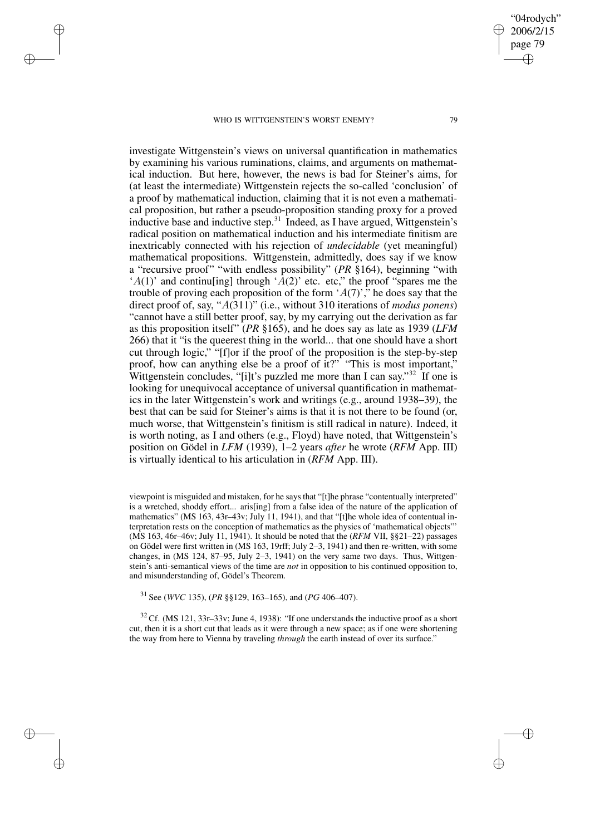$\rightarrow$ 

 $\rightarrow$ 

✐

✐

investigate Wittgenstein's views on universal quantification in mathematics by examining his various ruminations, claims, and arguments on mathematical induction. But here, however, the news is bad for Steiner's aims, for (at least the intermediate) Wittgenstein rejects the so-called 'conclusion' of a proof by mathematical induction, claiming that it is not even a mathematical proposition, but rather a pseudo-proposition standing proxy for a proved inductive base and inductive step.<sup>31</sup> Indeed, as I have argued, Wittgenstein's radical position on mathematical induction and his intermediate finitism are inextricably connected with his rejection of *undecidable* (yet meaningful) mathematical propositions. Wittgenstein, admittedly, does say if we know a "recursive proof" "with endless possibility" (*PR* §164), beginning "with 'A(1)' and continuling] through 'A(2)' etc. etc," the proof "spares me the trouble of proving each proposition of the form  $(A(7))$ ," he does say that the direct proof of, say, "A(311)" (i.e., without 310 iterations of *modus ponens*) "cannot have a still better proof, say, by my carrying out the derivation as far as this proposition itself" (*PR* §165), and he does say as late as 1939 (*LFM* 266) that it "is the queerest thing in the world... that one should have a short cut through logic," "[f]or if the proof of the proposition is the step-by-step proof, how can anything else be a proof of it?" "This is most important," Wittgenstein concludes, "[i]t's puzzled me more than I can say."<sup>32</sup> If one is looking for unequivocal acceptance of universal quantification in mathematics in the later Wittgenstein's work and writings (e.g., around 1938–39), the best that can be said for Steiner's aims is that it is not there to be found (or, much worse, that Wittgenstein's finitism is still radical in nature). Indeed, it is worth noting, as I and others (e.g., Floyd) have noted, that Wittgenstein's position on Gödel in *LFM* (1939), 1–2 years *after* he wrote (*RFM* App. III) is virtually identical to his articulation in (*RFM* App. III).

viewpoint is misguided and mistaken, for he says that "[t]he phrase "contentually interpreted" is a wretched, shoddy effort... aris[ing] from a false idea of the nature of the application of mathematics" (MS 163, 43r–43v; July 11, 1941), and that "[t]he whole idea of contentual interpretation rests on the conception of mathematics as the physics of 'mathematical objects"' (MS 163, 46r–46v; July 11, 1941). It should be noted that the (*RFM* VII, §§21–22) passages on Gödel were first written in (MS 163, 19rff; July 2–3, 1941) and then re-written, with some changes, in (MS 124, 87–95, July 2–3, 1941) on the very same two days. Thus, Wittgenstein's anti-semantical views of the time are *not* in opposition to his continued opposition to, and misunderstanding of, Gödel's Theorem.

<sup>31</sup> See (*WVC* 135), (*PR* §§129, 163–165), and (*PG* 406–407).

 $32$  Cf. (MS 121, 33r–33v; June 4, 1938): "If one understands the inductive proof as a short cut, then it is a short cut that leads as it were through a new space; as if one were shortening the way from here to Vienna by traveling *through* the earth instead of over its surface."

"04rodych" 2006/2/15 page 79

✐

✐

✐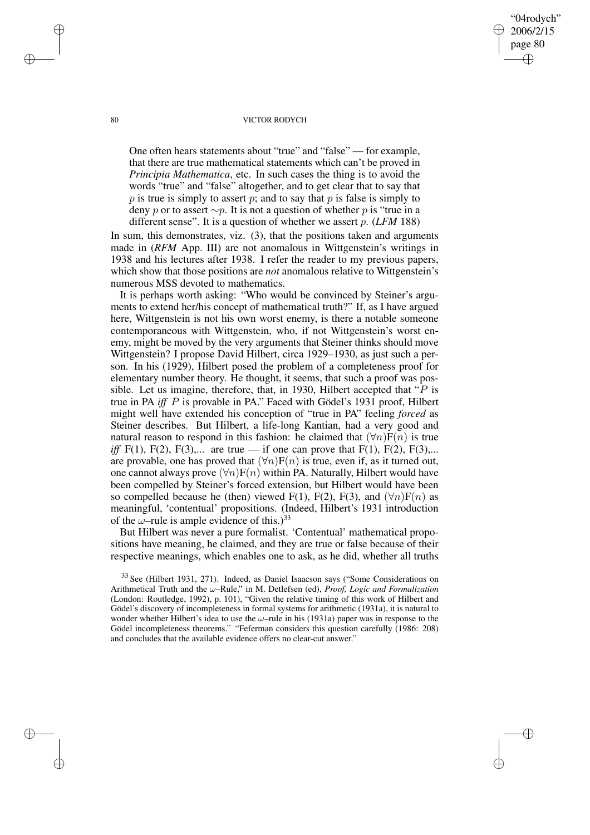80 VICTOR RODYCH

"04rodych" 2006/2/15 page 80

✐

✐

✐

✐

One often hears statements about "true" and "false" — for example, that there are true mathematical statements which can't be proved in *Principia Mathematica*, etc. In such cases the thing is to avoid the words "true" and "false" altogether, and to get clear that to say that  $p$  is true is simply to assert  $p$ ; and to say that  $p$  is false is simply to deny p or to assert  $\sim p$ . It is not a question of whether p is "true in a different sense". It is a question of whether we assert p. (*LFM* 188)

In sum, this demonstrates, viz. (3), that the positions taken and arguments made in (*RFM* App. III) are not anomalous in Wittgenstein's writings in 1938 and his lectures after 1938. I refer the reader to my previous papers, which show that those positions are *not* anomalous relative to Wittgenstein's numerous MSS devoted to mathematics.

It is perhaps worth asking: "Who would be convinced by Steiner's arguments to extend her/his concept of mathematical truth?" If, as I have argued here, Wittgenstein is not his own worst enemy, is there a notable someone contemporaneous with Wittgenstein, who, if not Wittgenstein's worst enemy, might be moved by the very arguments that Steiner thinks should move Wittgenstein? I propose David Hilbert, circa 1929–1930, as just such a person. In his (1929), Hilbert posed the problem of a completeness proof for elementary number theory. He thought, it seems, that such a proof was possible. Let us imagine, therefore, that, in 1930, Hilbert accepted that " $P$  is true in PA *iff* P is provable in PA." Faced with Gödel's 1931 proof, Hilbert might well have extended his conception of "true in PA" feeling *forced* as Steiner describes. But Hilbert, a life-long Kantian, had a very good and natural reason to respond in this fashion: he claimed that  $(\forall n)F(n)$  is true *iff* F(1), F(2), F(3),... are true — if one can prove that F(1), F(2), F(3),... are provable, one has proved that  $(\forall n)F(n)$  is true, even if, as it turned out, one cannot always prove  $(\forall n)F(n)$  within PA. Naturally, Hilbert would have been compelled by Steiner's forced extension, but Hilbert would have been so compelled because he (then) viewed F(1), F(2), F(3), and  $(\forall n)F(n)$  as meaningful, 'contentual' propositions. (Indeed, Hilbert's 1931 introduction of the  $\omega$ -rule is ample evidence of this.)<sup>33</sup>

But Hilbert was never a pure formalist. 'Contentual' mathematical propositions have meaning, he claimed, and they are true or false because of their respective meanings, which enables one to ask, as he did, whether all truths

<sup>33</sup> See (Hilbert 1931, 271). Indeed, as Daniel Isaacson says ("Some Considerations on Arithmetical Truth and the ω–Rule," in M. Detlefsen (ed), *Proof, Logic and Formalization* (London: Routledge, 1992), p. 101), "Given the relative timing of this work of Hilbert and Gödel's discovery of incompleteness in formal systems for arithmetic (1931a), it is natural to wonder whether Hilbert's idea to use the  $\omega$ -rule in his (1931a) paper was in response to the Gödel incompleteness theorems." "Feferman considers this question carefully (1986: 208) and concludes that the available evidence offers no clear-cut answer."

 $\rightarrow$ 

 $\rightarrow$ 

✐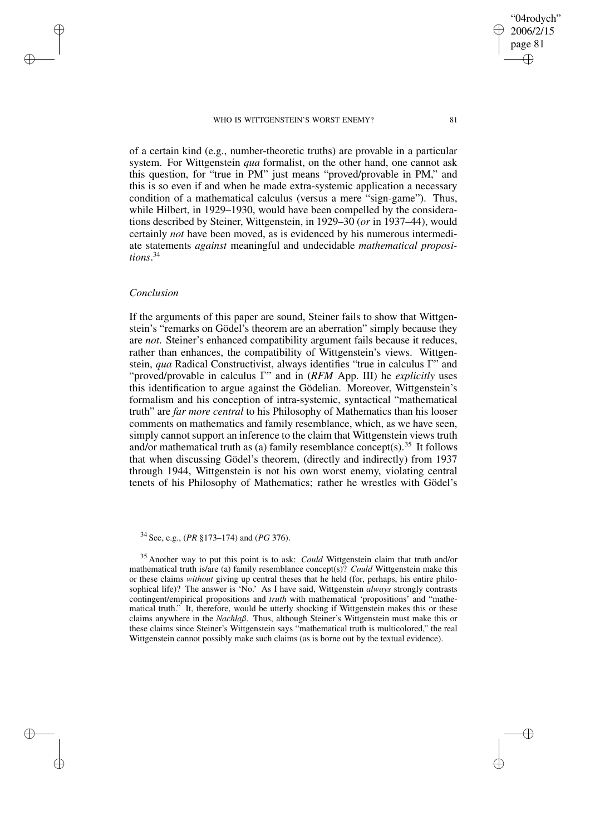"04rodych" 2006/2/15 page 81 ✐ ✐

✐

✐

of a certain kind (e.g., number-theoretic truths) are provable in a particular system. For Wittgenstein *qua* formalist, on the other hand, one cannot ask this question, for "true in PM" just means "proved/provable in PM," and this is so even if and when he made extra-systemic application a necessary condition of a mathematical calculus (versus a mere "sign-game"). Thus, while Hilbert, in 1929–1930, would have been compelled by the considerations described by Steiner, Wittgenstein, in 1929–30 (*or* in 1937–44), would certainly *not* have been moved, as is evidenced by his numerous intermediate statements *against* meaningful and undecidable *mathematical propositions*. 34

# *Conclusion*

 $\rightarrow$ 

 $\rightarrow$ 

✐

✐

If the arguments of this paper are sound, Steiner fails to show that Wittgenstein's "remarks on Gödel's theorem are an aberration" simply because they are *not*. Steiner's enhanced compatibility argument fails because it reduces, rather than enhances, the compatibility of Wittgenstein's views. Wittgenstein, *qua* Radical Constructivist, always identifies "true in calculus Γ" and "proved/provable in calculus Γ" and in (*RFM* App. III) he *explicitly* uses this identification to argue against the Gödelian. Moreover, Wittgenstein's formalism and his conception of intra-systemic, syntactical "mathematical truth" are *far more central* to his Philosophy of Mathematics than his looser comments on mathematics and family resemblance, which, as we have seen, simply cannot support an inference to the claim that Wittgenstein views truth and/or mathematical truth as (a) family resemblance concept(s).<sup>35</sup> It follows that when discussing Gödel's theorem, (directly and indirectly) from 1937 through 1944, Wittgenstein is not his own worst enemy, violating central tenets of his Philosophy of Mathematics; rather he wrestles with Gödel's

<sup>34</sup> See, e.g., (*PR* §173–174) and (*PG* 376).

<sup>35</sup> Another way to put this point is to ask: *Could* Wittgenstein claim that truth and/or mathematical truth is/are (a) family resemblance concept(s)? *Could* Wittgenstein make this or these claims *without* giving up central theses that he held (for, perhaps, his entire philosophical life)? The answer is 'No.' As I have said, Wittgenstein *always* strongly contrasts contingent/empirical propositions and *truth* with mathematical 'propositions' and "mathematical truth." It, therefore, would be utterly shocking if Wittgenstein makes this or these claims anywhere in the *Nachlaß*. Thus, although Steiner's Wittgenstein must make this or these claims since Steiner's Wittgenstein says "mathematical truth is multicolored," the real Wittgenstein cannot possibly make such claims (as is borne out by the textual evidence).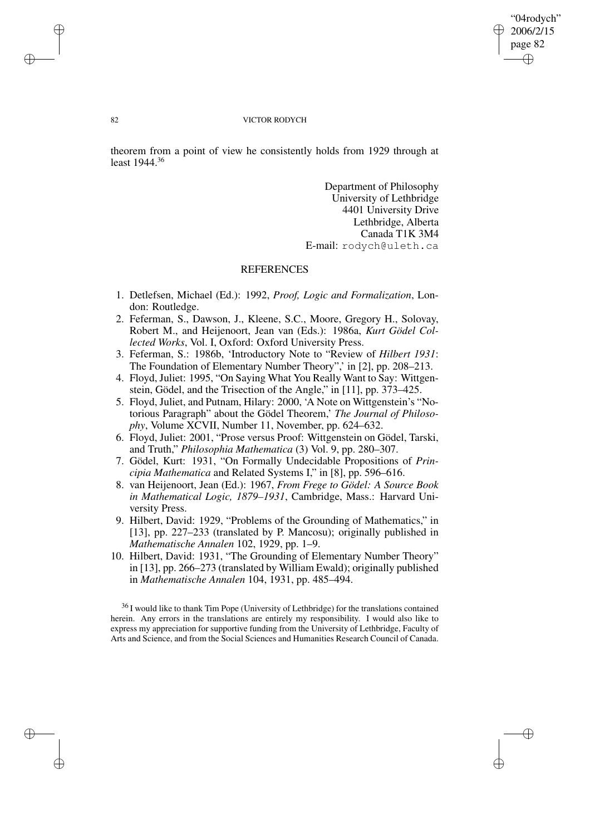✐

✐

## 82 VICTOR RODYCH

theorem from a point of view he consistently holds from 1929 through at least 1944.<sup>36</sup>

> Department of Philosophy University of Lethbridge 4401 University Drive Lethbridge, Alberta Canada T1K 3M4 E-mail: rodych@uleth.ca

## REFERENCES

- 1. Detlefsen, Michael (Ed.): 1992, *Proof, Logic and Formalization*, London: Routledge.
- 2. Feferman, S., Dawson, J., Kleene, S.C., Moore, Gregory H., Solovay, Robert M., and Heijenoort, Jean van (Eds.): 1986a, *Kurt Gödel Collected Works*, Vol. I, Oxford: Oxford University Press.
- 3. Feferman, S.: 1986b, 'Introductory Note to "Review of *Hilbert 1931*: The Foundation of Elementary Number Theory",' in [2], pp. 208–213.
- 4. Floyd, Juliet: 1995, "On Saying What You Really Want to Say: Wittgenstein, Gödel, and the Trisection of the Angle," in [11], pp. 373–425.
- 5. Floyd, Juliet, and Putnam, Hilary: 2000, 'A Note on Wittgenstein's "Notorious Paragraph" about the Gödel Theorem,' *The Journal of Philosophy*, Volume XCVII, Number 11, November, pp. 624–632.
- 6. Floyd, Juliet: 2001, "Prose versus Proof: Wittgenstein on Gödel, Tarski, and Truth," *Philosophia Mathematica* (3) Vol. 9, pp. 280–307.
- 7. Gödel, Kurt: 1931, "On Formally Undecidable Propositions of *Principia Mathematica* and Related Systems I," in [8], pp. 596–616.
- 8. van Heijenoort, Jean (Ed.): 1967, *From Frege to Gödel: A Source Book in Mathematical Logic, 1879–1931*, Cambridge, Mass.: Harvard University Press.
- 9. Hilbert, David: 1929, "Problems of the Grounding of Mathematics," in [13], pp. 227–233 (translated by P. Mancosu); originally published in *Mathematische Annalen* 102, 1929, pp. 1–9.
- 10. Hilbert, David: 1931, "The Grounding of Elementary Number Theory" in [13], pp. 266–273 (translated by William Ewald); originally published in *Mathematische Annalen* 104, 1931, pp. 485–494.

<sup>36</sup> I would like to thank Tim Pope (University of Lethbridge) for the translations contained herein. Any errors in the translations are entirely my responsibility. I would also like to express my appreciation for supportive funding from the University of Lethbridge, Faculty of Arts and Science, and from the Social Sciences and Humanities Research Council of Canada.

 $\rightarrow$ 

 $\rightarrow$ 

✐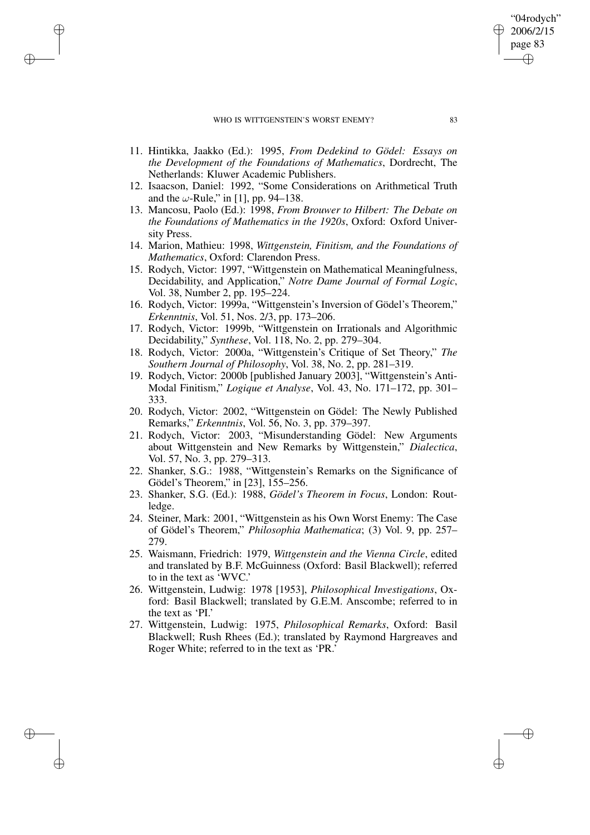$\rightarrow$ 

 $\rightarrow$ 

✐

✐

- 11. Hintikka, Jaakko (Ed.): 1995, *From Dedekind to Gödel: Essays on the Development of the Foundations of Mathematics*, Dordrecht, The Netherlands: Kluwer Academic Publishers.
- 12. Isaacson, Daniel: 1992, "Some Considerations on Arithmetical Truth and the  $\omega$ -Rule," in [1], pp. 94–138.
- 13. Mancosu, Paolo (Ed.): 1998, *From Brouwer to Hilbert: The Debate on the Foundations of Mathematics in the 1920s*, Oxford: Oxford University Press.
- 14. Marion, Mathieu: 1998, *Wittgenstein, Finitism, and the Foundations of Mathematics*, Oxford: Clarendon Press.
- 15. Rodych, Victor: 1997, "Wittgenstein on Mathematical Meaningfulness, Decidability, and Application," *Notre Dame Journal of Formal Logic*, Vol. 38, Number 2, pp. 195–224.
- 16. Rodych, Victor: 1999a, "Wittgenstein's Inversion of Gödel's Theorem," *Erkenntnis*, Vol. 51, Nos. 2/3, pp. 173–206.
- 17. Rodych, Victor: 1999b, "Wittgenstein on Irrationals and Algorithmic Decidability," *Synthese*, Vol. 118, No. 2, pp. 279–304.
- 18. Rodych, Victor: 2000a, "Wittgenstein's Critique of Set Theory," *The Southern Journal of Philosophy*, Vol. 38, No. 2, pp. 281–319.
- 19. Rodych, Victor: 2000b [published January 2003], "Wittgenstein's Anti-Modal Finitism," *Logique et Analyse*, Vol. 43, No. 171–172, pp. 301– 333.
- 20. Rodych, Victor: 2002, "Wittgenstein on Gödel: The Newly Published Remarks," *Erkenntnis*, Vol. 56, No. 3, pp. 379–397.
- 21. Rodych, Victor: 2003, "Misunderstanding Gödel: New Arguments about Wittgenstein and New Remarks by Wittgenstein," *Dialectica*, Vol. 57, No. 3, pp. 279–313.
- 22. Shanker, S.G.: 1988, "Wittgenstein's Remarks on the Significance of Gödel's Theorem," in [23], 155–256.
- 23. Shanker, S.G. (Ed.): 1988, *Gödel's Theorem in Focus*, London: Routledge.
- 24. Steiner, Mark: 2001, "Wittgenstein as his Own Worst Enemy: The Case of Gödel's Theorem," *Philosophia Mathematica*; (3) Vol. 9, pp. 257– 279.
- 25. Waismann, Friedrich: 1979, *Wittgenstein and the Vienna Circle*, edited and translated by B.F. McGuinness (Oxford: Basil Blackwell); referred to in the text as 'WVC.'
- 26. Wittgenstein, Ludwig: 1978 [1953], *Philosophical Investigations*, Oxford: Basil Blackwell; translated by G.E.M. Anscombe; referred to in the text as 'PI.'
- 27. Wittgenstein, Ludwig: 1975, *Philosophical Remarks*, Oxford: Basil Blackwell; Rush Rhees (Ed.); translated by Raymond Hargreaves and Roger White; referred to in the text as 'PR.'

"04rodych" 2006/2/15 page 83

✐

✐

✐